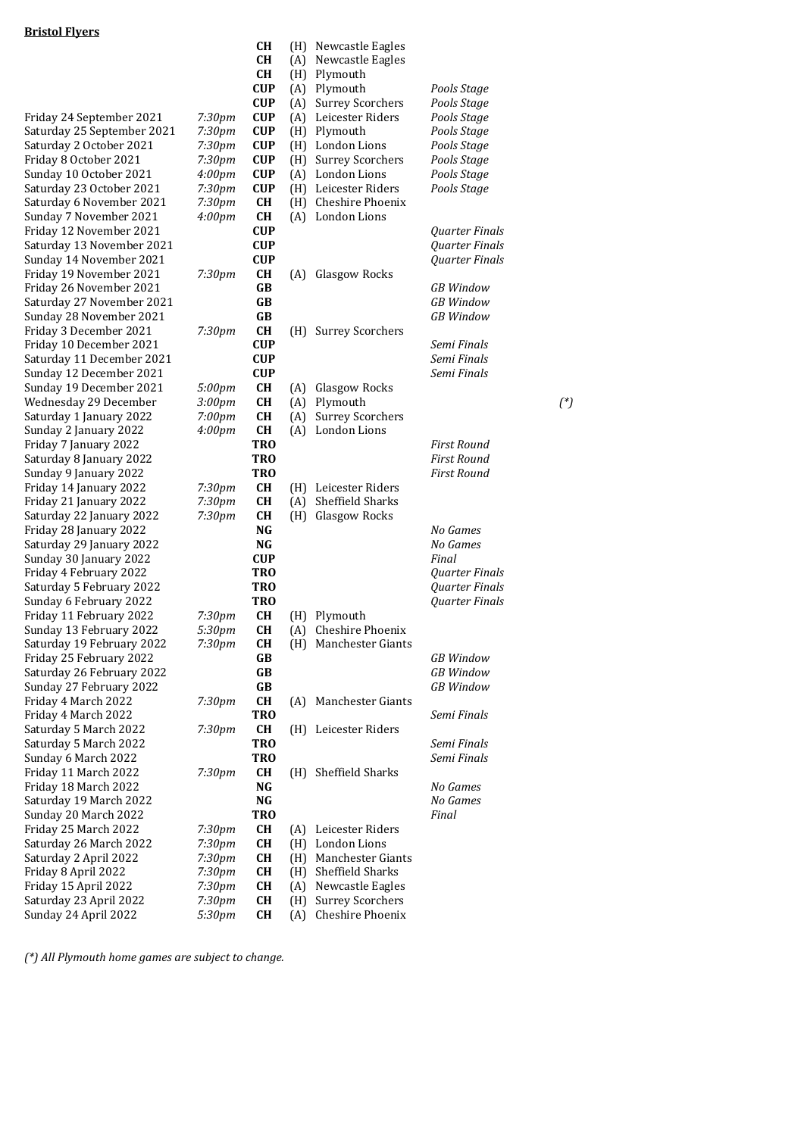|                                                  |                    | CН                       |            | (H) Newcastle Eagles                        |                            |        |
|--------------------------------------------------|--------------------|--------------------------|------------|---------------------------------------------|----------------------------|--------|
|                                                  |                    | <b>CH</b>                | (A)        | Newcastle Eagles                            |                            |        |
|                                                  |                    | <b>CH</b>                | (H)        | Plymouth<br>Plymouth                        |                            |        |
|                                                  |                    | <b>CUP</b><br><b>CUP</b> | (A)        |                                             | Pools Stage                |        |
| Friday 24 September 2021                         | 7:30pm             | <b>CUP</b>               | (A)<br>(A) | <b>Surrey Scorchers</b><br>Leicester Riders | Pools Stage<br>Pools Stage |        |
| Saturday 25 September 2021                       | 7:30pm             | <b>CUP</b>               | (H)        | Plymouth                                    | Pools Stage                |        |
| Saturday 2 October 2021                          | 7:30pm             | <b>CUP</b>               | (H)        | London Lions                                | Pools Stage                |        |
| Friday 8 October 2021                            | 7:30pm             | <b>CUP</b>               | (H)        | <b>Surrey Scorchers</b>                     | Pools Stage                |        |
| Sunday 10 October 2021                           | 4:00 <sub>pm</sub> | <b>CUP</b>               |            | (A) London Lions                            | Pools Stage                |        |
| Saturday 23 October 2021                         | 7:30pm             | <b>CUP</b>               |            | (H) Leicester Riders                        | Pools Stage                |        |
| Saturday 6 November 2021                         | 7:30 <sub>pm</sub> | <b>CH</b>                | (H)        | Cheshire Phoenix                            |                            |        |
| Sunday 7 November 2021                           | 4:00 <sub>pm</sub> | <b>CH</b>                |            | (A) London Lions                            |                            |        |
| Friday 12 November 2021                          |                    | <b>CUP</b>               |            |                                             | Quarter Finals             |        |
| Saturday 13 November 2021                        |                    | <b>CUP</b>               |            |                                             | Quarter Finals             |        |
| Sunday 14 November 2021                          |                    | <b>CUP</b>               |            |                                             | Quarter Finals             |        |
| Friday 19 November 2021                          | 7:30pm             | CН                       | (A)        | Glasgow Rocks                               |                            |        |
| Friday 26 November 2021                          |                    | GB                       |            |                                             | <b>GB</b> Window           |        |
| Saturday 27 November 2021                        |                    | GB                       |            |                                             | <b>GB</b> Window           |        |
| Sunday 28 November 2021                          |                    | GB                       |            |                                             | <b>GB</b> Window           |        |
| Friday 3 December 2021                           | 7:30pm             | <b>CH</b>                |            | (H) Surrey Scorchers                        |                            |        |
| Friday 10 December 2021                          |                    | <b>CUP</b>               |            |                                             | Semi Finals                |        |
| Saturday 11 December 2021                        |                    | <b>CUP</b>               |            |                                             | Semi Finals                |        |
| Sunday 12 December 2021                          |                    | <b>CUP</b>               |            |                                             | Semi Finals                |        |
| Sunday 19 December 2021                          | 5:00pm             | <b>CH</b>                | (A)        | Glasgow Rocks                               |                            |        |
| Wednesday 29 December                            | 3:00 <sub>pm</sub> | <b>CH</b>                | (A)        | Plymouth                                    |                            | $(^*)$ |
| Saturday 1 January 2022                          | 7:00pm             | <b>CH</b>                | (A)        | <b>Surrey Scorchers</b>                     |                            |        |
| Sunday 2 January 2022                            | 4:00 <sub>pm</sub> | <b>CH</b>                |            | (A) London Lions                            |                            |        |
| Friday 7 January 2022                            |                    | <b>TRO</b>               |            |                                             | <b>First Round</b>         |        |
| Saturday 8 January 2022                          |                    | <b>TRO</b>               |            |                                             | <b>First Round</b>         |        |
| Sunday 9 January 2022                            |                    | <b>TRO</b>               |            |                                             | <b>First Round</b>         |        |
| Friday 14 January 2022<br>Friday 21 January 2022 | 7:30pm<br>7:30pm   | CН<br><b>CH</b>          | (A)        | (H) Leicester Riders<br>Sheffield Sharks    |                            |        |
| Saturday 22 January 2022                         | 7:30pm             | <b>CH</b>                |            | (H) Glasgow Rocks                           |                            |        |
| Friday 28 January 2022                           |                    | NG                       |            |                                             | No Games                   |        |
| Saturday 29 January 2022                         |                    | NG                       |            |                                             | No Games                   |        |
| Sunday 30 January 2022                           |                    | <b>CUP</b>               |            |                                             | Final                      |        |
| Friday 4 February 2022                           |                    | <b>TRO</b>               |            |                                             | Quarter Finals             |        |
| Saturday 5 February 2022                         |                    | <b>TRO</b>               |            |                                             | Quarter Finals             |        |
| Sunday 6 February 2022                           |                    | <b>TRO</b>               |            |                                             | Quarter Finals             |        |
| Friday 11 February 2022                          | 7:30pm             | CH                       | (H)        | Plymouth                                    |                            |        |
| Sunday 13 February 2022                          | 5:30pm             | CH                       | (A)        | Cheshire Phoenix                            |                            |        |
| Saturday 19 February 2022                        | 7:30pm             | CH                       |            | (H) Manchester Giants                       |                            |        |
| Friday 25 February 2022                          |                    | GB                       |            |                                             | <b>GB</b> Window           |        |
| Saturday 26 February 2022                        |                    | GB                       |            |                                             | <b>GB</b> Window           |        |
| Sunday 27 February 2022                          |                    | GB                       |            |                                             | <b>GB</b> Window           |        |
| Friday 4 March 2022                              | 7:30pm             | <b>CH</b>                |            | (A) Manchester Giants                       |                            |        |
| Friday 4 March 2022                              |                    | <b>TRO</b>               |            |                                             | Semi Finals                |        |
| Saturday 5 March 2022                            | 7:30pm             | CH                       |            | (H) Leicester Riders                        |                            |        |
| Saturday 5 March 2022                            |                    | <b>TRO</b>               |            |                                             | Semi Finals                |        |
| Sunday 6 March 2022                              |                    | <b>TRO</b>               |            |                                             | Semi Finals                |        |
| Friday 11 March 2022                             | 7:30pm             | <b>CH</b>                |            | (H) Sheffield Sharks                        |                            |        |
| Friday 18 March 2022                             |                    | NG                       |            |                                             | No Games                   |        |
| Saturday 19 March 2022                           |                    | $\mathbf{N}\mathbf{G}$   |            |                                             | No Games                   |        |
| Sunday 20 March 2022<br>Friday 25 March 2022     |                    | <b>TRO</b><br><b>CH</b>  |            | (A) Leicester Riders                        | Final                      |        |
|                                                  | 7:30pm             | <b>CH</b>                |            | London Lions                                |                            |        |
| Saturday 26 March 2022<br>Saturday 2 April 2022  | 7:30pm<br>7:30pm   | CH                       | (H)<br>(H) | Manchester Giants                           |                            |        |
| Friday 8 April 2022                              | 7:30pm             | CH                       | (H)        | Sheffield Sharks                            |                            |        |
| Friday 15 April 2022                             | 7:30pm             | <b>CH</b>                | (A)        | Newcastle Eagles                            |                            |        |
| Saturday 23 April 2022                           | 7:30pm             | <b>CH</b>                | (H)        | <b>Surrey Scorchers</b>                     |                            |        |
| Sunday 24 April 2022                             | 5:30pm             | <b>CH</b>                | (A)        | Cheshire Phoenix                            |                            |        |
|                                                  |                    |                          |            |                                             |                            |        |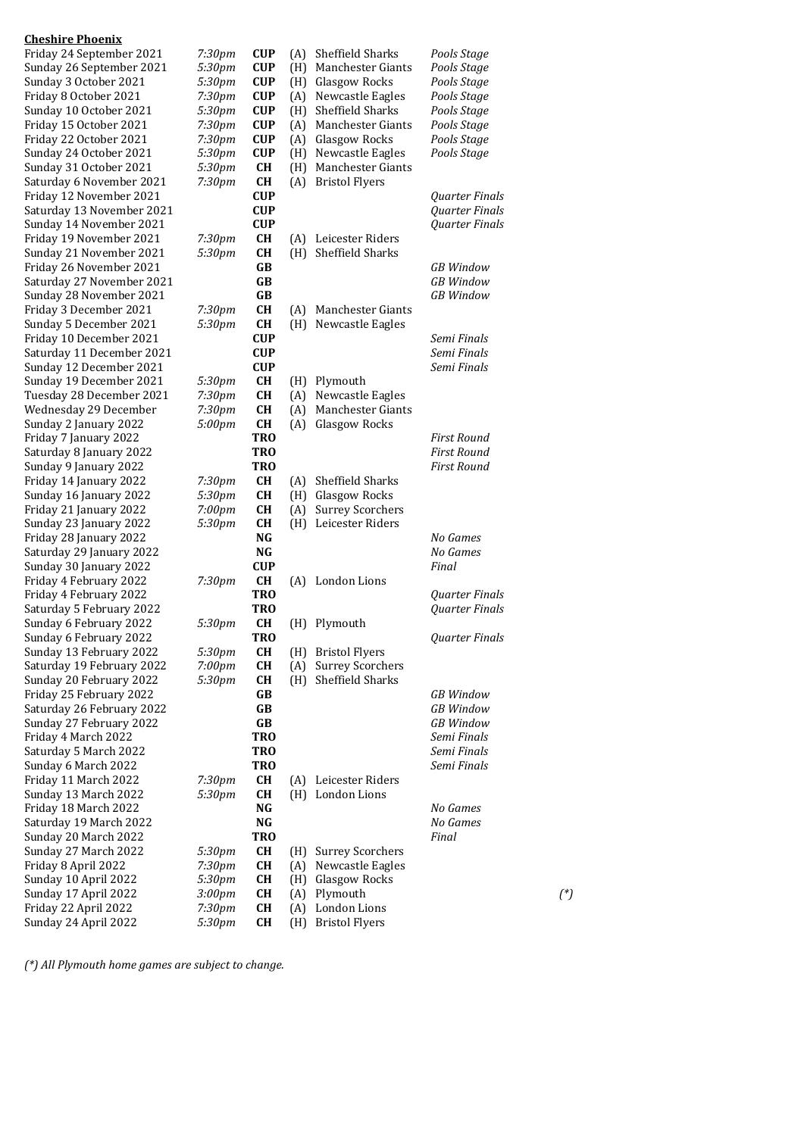| <b>Cheshire Phoenix</b>                          |                    |                        |     |                          |                       |        |
|--------------------------------------------------|--------------------|------------------------|-----|--------------------------|-----------------------|--------|
| Friday 24 September 2021                         | 7:30pm             | <b>CUP</b>             | (A) | Sheffield Sharks         | Pools Stage           |        |
| Sunday 26 September 2021                         | 5:30pm             | <b>CUP</b>             | (H) | <b>Manchester Giants</b> | Pools Stage           |        |
| Sunday 3 October 2021                            | 5:30pm             | <b>CUP</b>             | (H) | Glasgow Rocks            | Pools Stage           |        |
| Friday 8 October 2021                            | 7:30pm             | <b>CUP</b>             | (A) | Newcastle Eagles         | Pools Stage           |        |
| Sunday 10 October 2021                           | 5:30pm             | <b>CUP</b>             | (H) | Sheffield Sharks         | Pools Stage           |        |
| Friday 15 October 2021                           | 7:30pm             | <b>CUP</b>             | (A) | Manchester Giants        | Pools Stage           |        |
| Friday 22 October 2021                           | 7:30 <sub>pm</sub> | <b>CUP</b>             | (A) | Glasgow Rocks            | Pools Stage           |        |
| Sunday 24 October 2021                           | 5:30pm             | <b>CUP</b>             | (H) | Newcastle Eagles         | Pools Stage           |        |
| Sunday 31 October 2021                           | 5:30pm             | <b>CH</b>              | (H) | Manchester Giants        |                       |        |
| Saturday 6 November 2021                         | 7:30pm             | CH                     | (A) | <b>Bristol Flyers</b>    |                       |        |
| Friday 12 November 2021                          |                    | <b>CUP</b>             |     |                          | <b>Quarter Finals</b> |        |
| Saturday 13 November 2021                        |                    | <b>CUP</b>             |     |                          | Quarter Finals        |        |
| Sunday 14 November 2021                          |                    | <b>CUP</b>             |     |                          | Quarter Finals        |        |
| Friday 19 November 2021                          | 7:30pm             | <b>CH</b>              | (A) | Leicester Riders         |                       |        |
| Sunday 21 November 2021                          | 5:30pm             | CH                     | (H) | Sheffield Sharks         |                       |        |
| Friday 26 November 2021                          |                    | GB                     |     |                          | <b>GB</b> Window      |        |
| Saturday 27 November 2021                        |                    | GB                     |     |                          | <b>GB</b> Window      |        |
| Sunday 28 November 2021                          |                    | GB                     |     |                          | <b>GB</b> Window      |        |
| Friday 3 December 2021                           | 7:30pm             | CH                     | (A) | Manchester Giants        |                       |        |
| Sunday 5 December 2021                           | 5:30pm             | CH                     | (H) | Newcastle Eagles         |                       |        |
| Friday 10 December 2021                          |                    | <b>CUP</b>             |     |                          | Semi Finals           |        |
| Saturday 11 December 2021                        |                    | <b>CUP</b>             |     |                          | Semi Finals           |        |
| Sunday 12 December 2021                          |                    | <b>CUP</b>             |     |                          | Semi Finals           |        |
| Sunday 19 December 2021                          | 5:30pm             | CH                     | (H) | Plymouth                 |                       |        |
| Tuesday 28 December 2021                         | 7:30pm             | CH                     | (A) | Newcastle Eagles         |                       |        |
| Wednesday 29 December                            | 7:30pm             | CH                     | (A) | Manchester Giants        |                       |        |
| Sunday 2 January 2022                            | 5:00pm             | CH                     | (A) | Glasgow Rocks            |                       |        |
| Friday 7 January 2022                            |                    | <b>TRO</b>             |     |                          | <b>First Round</b>    |        |
| Saturday 8 January 2022                          |                    | <b>TRO</b>             |     |                          | <b>First Round</b>    |        |
| Sunday 9 January 2022                            |                    | <b>TRO</b>             |     |                          | <b>First Round</b>    |        |
| Friday 14 January 2022                           | 7:30pm             | CH                     | (A) | Sheffield Sharks         |                       |        |
| Sunday 16 January 2022                           | 5:30pm             | <b>CH</b>              | (H) | Glasgow Rocks            |                       |        |
| Friday 21 January 2022                           | $7:00$ pm          | <b>CH</b>              | (A) | <b>Surrey Scorchers</b>  |                       |        |
| Sunday 23 January 2022                           | 5:30pm             | CH                     | (H) | Leicester Riders         |                       |        |
| Friday 28 January 2022                           |                    | NG<br><b>NG</b>        |     |                          | No Games<br>No Games  |        |
| Saturday 29 January 2022                         |                    |                        |     |                          |                       |        |
| Sunday 30 January 2022                           |                    | <b>CUP</b>             |     |                          | Final                 |        |
| Friday 4 February 2022<br>Friday 4 February 2022 | 7:30pm             | CH<br><b>TRO</b>       |     | (A) London Lions         | Quarter Finals        |        |
| Saturday 5 February 2022                         |                    | <b>TRO</b>             |     |                          |                       |        |
| Sunday 6 February 2022                           |                    | <b>CH</b>              |     | (H) Plymouth             | Quarter Finals        |        |
| Sunday 6 February 2022                           | 5:30pm             |                        |     |                          | Quarter Finals        |        |
| Sunday 13 February 2022                          | 5:30pm             | TRO<br><b>CH</b>       |     | (H) Bristol Flyers       |                       |        |
| Saturday 19 February 2022                        | $7:00$ pm          | CH                     | (A) | <b>Surrey Scorchers</b>  |                       |        |
| Sunday 20 February 2022                          | 5:30pm             | <b>CH</b>              | (H) | Sheffield Sharks         |                       |        |
| Friday 25 February 2022                          |                    | GB                     |     |                          | <b>GB</b> Window      |        |
| Saturday 26 February 2022                        |                    | GB                     |     |                          | <b>GB</b> Window      |        |
| Sunday 27 February 2022                          |                    | GB                     |     |                          | <b>GB</b> Window      |        |
| Friday 4 March 2022                              |                    | <b>TRO</b>             |     |                          | Semi Finals           |        |
| Saturday 5 March 2022                            |                    | <b>TRO</b>             |     |                          | Semi Finals           |        |
| Sunday 6 March 2022                              |                    | <b>TRO</b>             |     |                          | Semi Finals           |        |
| Friday 11 March 2022                             | 7:30pm             | <b>CH</b>              | (A) | Leicester Riders         |                       |        |
| Sunday 13 March 2022                             | 5:30pm             | <b>CH</b>              |     | (H) London Lions         |                       |        |
| Friday 18 March 2022                             |                    | NG                     |     |                          | No Games              |        |
| Saturday 19 March 2022                           |                    | $\mathbf{N}\mathbf{G}$ |     |                          | No Games              |        |
| Sunday 20 March 2022                             |                    | <b>TRO</b>             |     |                          | Final                 |        |
| Sunday 27 March 2022                             | 5:30pm             | <b>CH</b>              | (H) | <b>Surrey Scorchers</b>  |                       |        |
| Friday 8 April 2022                              | 7:30pm             | CH                     | (A) | Newcastle Eagles         |                       |        |
| Sunday 10 April 2022                             | 5:30pm             | <b>CH</b>              | (H) | Glasgow Rocks            |                       |        |
| Sunday 17 April 2022                             | 3:00pm             | CH                     | (A) | Plymouth                 |                       | $(^*)$ |
| Friday 22 April 2022                             | 7:30pm             | CH                     | (A) | London Lions             |                       |        |
| Sunday 24 April 2022                             | 5:30pm             | <b>CH</b>              | (H) | <b>Bristol Flyers</b>    |                       |        |
|                                                  |                    |                        |     |                          |                       |        |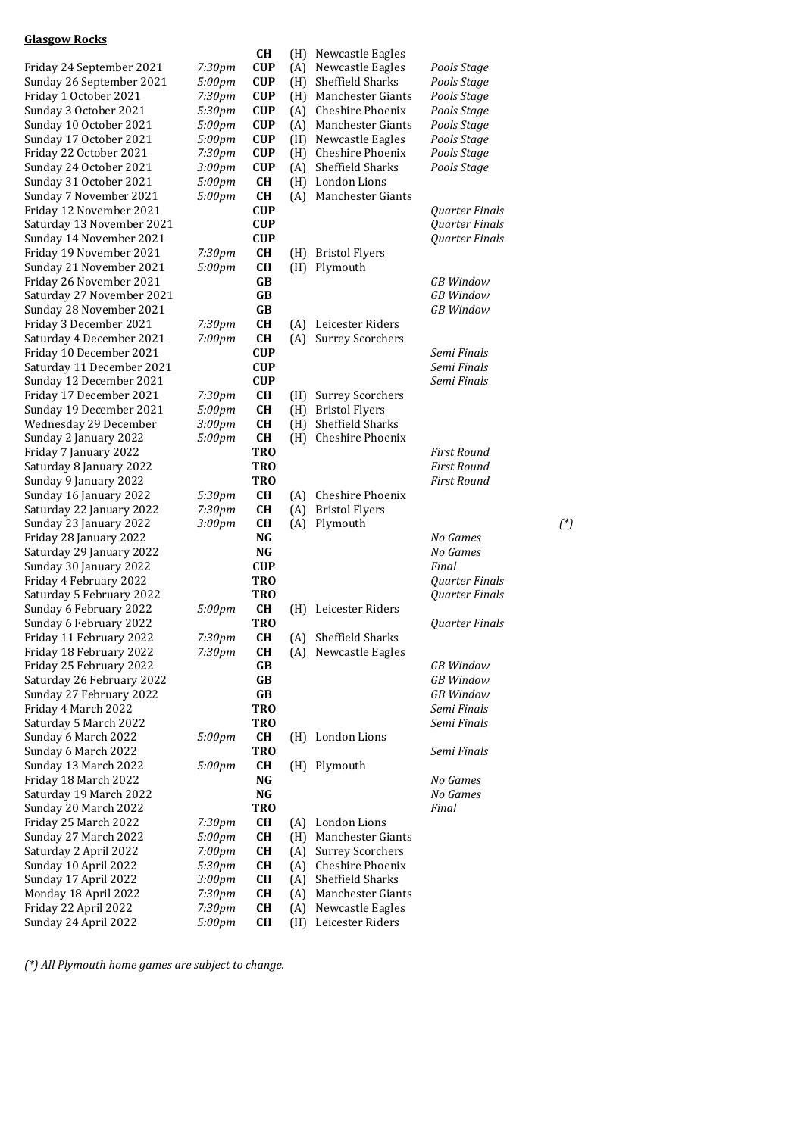#### **Glasgow Rocks**

|                                                    |                    | CH                     |            | (H) Newcastle Eagles                         |                       |          |
|----------------------------------------------------|--------------------|------------------------|------------|----------------------------------------------|-----------------------|----------|
| Friday 24 September 2021                           | 7:30pm             | <b>CUP</b>             | (A)        | Newcastle Eagles                             | Pools Stage           |          |
| Sunday 26 September 2021                           | 5:00pm             | <b>CUP</b>             | (H)        | Sheffield Sharks                             | Pools Stage           |          |
| Friday 1 October 2021                              | 7:30pm             | <b>CUP</b>             | (H)        | Manchester Giants                            | Pools Stage           |          |
| Sunday 3 October 2021                              | 5:30pm             | <b>CUP</b>             | (A)        | Cheshire Phoenix                             | Pools Stage           |          |
| Sunday 10 October 2021                             | 5:00pm             | <b>CUP</b>             | (A)        | Manchester Giants                            | Pools Stage           |          |
| Sunday 17 October 2021                             | 5:00pm             | <b>CUP</b>             | (H)        | Newcastle Eagles                             | Pools Stage           |          |
| Friday 22 October 2021                             | 7:30pm             | <b>CUP</b>             | (H)        | Cheshire Phoenix                             | Pools Stage           |          |
| Sunday 24 October 2021                             | 3:00pm             | <b>CUP</b>             | (A)        | Sheffield Sharks                             | Pools Stage           |          |
| Sunday 31 October 2021<br>Sunday 7 November 2021   | 5:00pm<br>5:00pm   | <b>CH</b><br>CH        | (A)        | (H) London Lions<br>Manchester Giants        |                       |          |
| Friday 12 November 2021                            |                    | <b>CUP</b>             |            |                                              | Quarter Finals        |          |
| Saturday 13 November 2021                          |                    | <b>CUP</b>             |            |                                              | Quarter Finals        |          |
| Sunday 14 November 2021                            |                    | <b>CUP</b>             |            |                                              | Quarter Finals        |          |
| Friday 19 November 2021                            | 7:30pm             | <b>CH</b>              | (H)        | <b>Bristol Flyers</b>                        |                       |          |
| Sunday 21 November 2021                            | 5:00pm             | <b>CH</b>              | (H)        | Plymouth                                     |                       |          |
| Friday 26 November 2021                            |                    | GB                     |            |                                              | <b>GB</b> Window      |          |
| Saturday 27 November 2021                          |                    | GB                     |            |                                              | <b>GB</b> Window      |          |
| Sunday 28 November 2021                            |                    | GB                     |            |                                              | <b>GB</b> Window      |          |
| Friday 3 December 2021                             | 7:30 <sub>pm</sub> | <b>CH</b>              | (A)        | Leicester Riders                             |                       |          |
| Saturday 4 December 2021                           | 7:00pm             | <b>CH</b>              | (A)        | <b>Surrey Scorchers</b>                      |                       |          |
| Friday 10 December 2021                            |                    | <b>CUP</b>             |            |                                              | Semi Finals           |          |
| Saturday 11 December 2021                          |                    | <b>CUP</b>             |            |                                              | Semi Finals           |          |
| Sunday 12 December 2021                            |                    | <b>CUP</b>             |            |                                              | Semi Finals           |          |
| Friday 17 December 2021                            | 7:30pm             | <b>CH</b>              | (H)        | <b>Surrey Scorchers</b>                      |                       |          |
| Sunday 19 December 2021<br>Wednesday 29 December   | 5:00pm<br>3:00pm   | <b>CH</b><br><b>CH</b> | (H)        | (H) Bristol Flyers<br>Sheffield Sharks       |                       |          |
| Sunday 2 January 2022                              | 5:00pm             | <b>CH</b>              | (H)        | Cheshire Phoenix                             |                       |          |
| Friday 7 January 2022                              |                    | <b>TRO</b>             |            |                                              | <b>First Round</b>    |          |
| Saturday 8 January 2022                            |                    | <b>TRO</b>             |            |                                              | <b>First Round</b>    |          |
| Sunday 9 January 2022                              |                    | <b>TRO</b>             |            |                                              | First Round           |          |
| Sunday 16 January 2022                             | 5:30pm             | <b>CH</b>              | (A)        | Cheshire Phoenix                             |                       |          |
| Saturday 22 January 2022                           | 7:30pm             | <b>CH</b>              | (A)        | <b>Bristol Flyers</b>                        |                       |          |
| Sunday 23 January 2022                             | 3:00 <sub>pm</sub> | <b>CH</b>              | (A)        | Plymouth                                     |                       | $({}^*)$ |
| Friday 28 January 2022                             |                    | NG                     |            |                                              | No Games              |          |
| Saturday 29 January 2022                           |                    | NG                     |            |                                              | No Games              |          |
| Sunday 30 January 2022                             |                    | <b>CUP</b>             |            |                                              | Final                 |          |
| Friday 4 February 2022                             |                    | <b>TRO</b>             |            |                                              | Quarter Finals        |          |
| Saturday 5 February 2022                           |                    | <b>TRO</b>             |            |                                              | Quarter Finals        |          |
| Sunday 6 February 2022                             | 5:00pm             | <b>CH</b>              | (H)        | Leicester Riders                             |                       |          |
| Sunday 6 February 2022                             |                    | <b>TRO</b>             |            |                                              | <b>Quarter Finals</b> |          |
| Friday 11 February 2022<br>Friday 18 February 2022 | 7:30pm<br>7:30pm   | <b>CH</b><br>CH        |            | (A) Sheffield Sharks<br>(A) Newcastle Eagles |                       |          |
| Friday 25 February 2022                            |                    | GВ                     |            |                                              | <b>GB</b> Window      |          |
| Saturday 26 February 2022                          |                    | GB                     |            |                                              | <b>GB</b> Window      |          |
| Sunday 27 February 2022                            |                    | $\mathbf G\mathbf B$   |            |                                              | <b>GB</b> Window      |          |
| Friday 4 March 2022                                |                    | <b>TRO</b>             |            |                                              | Semi Finals           |          |
| Saturday 5 March 2022                              |                    | <b>TRO</b>             |            |                                              | Semi Finals           |          |
| Sunday 6 March 2022                                | 5:00pm             | <b>CH</b>              |            | (H) London Lions                             |                       |          |
| Sunday 6 March 2022                                |                    | <b>TRO</b>             |            |                                              | Semi Finals           |          |
| Sunday 13 March 2022                               | 5:00pm             | <b>CH</b>              |            | (H) Plymouth                                 |                       |          |
| Friday 18 March 2022                               |                    | $\mathbf{N}\mathbf{G}$ |            |                                              | No Games              |          |
| Saturday 19 March 2022                             |                    | $\mathbf{N}\mathbf{G}$ |            |                                              | No Games              |          |
| Sunday 20 March 2022                               |                    | <b>TRO</b>             |            |                                              | Final                 |          |
| Friday 25 March 2022                               | 7:30 <sub>pm</sub> | <b>CH</b>              | (A)        | London Lions                                 |                       |          |
| Sunday 27 March 2022                               | 5:00pm             | <b>CH</b>              | (H)        | Manchester Giants                            |                       |          |
| Saturday 2 April 2022                              | 7:00pm             | <b>CH</b>              | (A)        | <b>Surrey Scorchers</b>                      |                       |          |
| Sunday 10 April 2022<br>Sunday 17 April 2022       | 5:30pm             | <b>CH</b>              | (A)        | Cheshire Phoenix<br>Sheffield Sharks         |                       |          |
| Monday 18 April 2022                               | 3:00pm<br>7:30pm   | <b>CH</b><br><b>CH</b> | (A)<br>(A) | Manchester Giants                            |                       |          |
| Friday 22 April 2022                               | 7:30pm             | <b>CH</b>              | (A)        | Newcastle Eagles                             |                       |          |
| Sunday 24 April 2022                               | 5:00pm             | CН                     |            | (H) Leicester Riders                         |                       |          |
|                                                    |                    |                        |            |                                              |                       |          |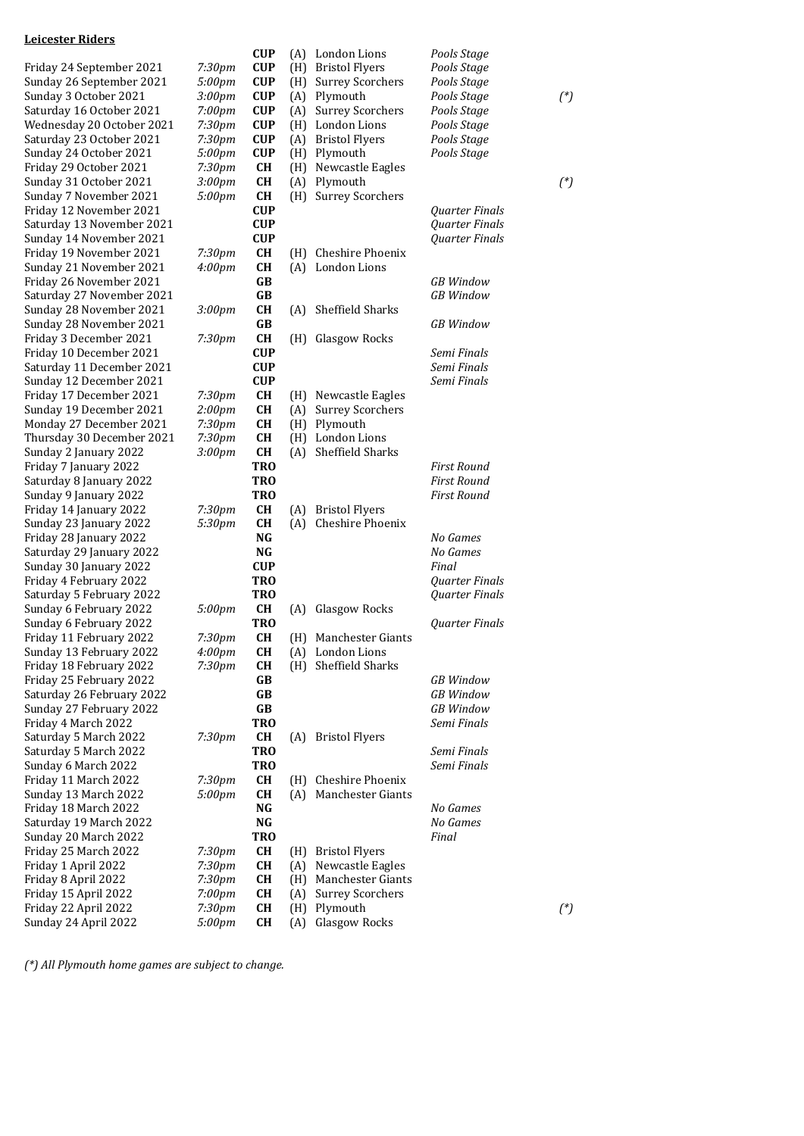# **Leicester Riders**

|                           |                    | <b>CUP</b> | (A) | London Lions            | Pools Stage           |          |
|---------------------------|--------------------|------------|-----|-------------------------|-----------------------|----------|
| Friday 24 September 2021  | 7:30pm             | <b>CUP</b> | (H) | <b>Bristol Flyers</b>   | Pools Stage           |          |
| Sunday 26 September 2021  | 5:00pm             | <b>CUP</b> | (H) | <b>Surrey Scorchers</b> | Pools Stage           |          |
| Sunday 3 October 2021     | 3:00pm             | <b>CUP</b> | (A) | Plymouth                | Pools Stage           | $({}^*)$ |
| Saturday 16 October 2021  | 7:00pm             | <b>CUP</b> | (A) | <b>Surrey Scorchers</b> | Pools Stage           |          |
| Wednesday 20 October 2021 | 7:30pm             | <b>CUP</b> | (H) | London Lions            | Pools Stage           |          |
| Saturday 23 October 2021  | 7:30pm             | <b>CUP</b> | (A) | <b>Bristol Flyers</b>   | Pools Stage           |          |
| Sunday 24 October 2021    | 5:00pm             | <b>CUP</b> | (H) | Plymouth                | Pools Stage           |          |
| Friday 29 October 2021    | 7:30pm             | CH         | (H) | Newcastle Eagles        |                       |          |
| Sunday 31 October 2021    | 3:00pm             | <b>CH</b>  | (A) | Plymouth                |                       | $({}^*)$ |
| Sunday 7 November 2021    | 5:00pm             | CH         | (H) | <b>Surrey Scorchers</b> |                       |          |
| Friday 12 November 2021   |                    | <b>CUP</b> |     |                         | Quarter Finals        |          |
| Saturday 13 November 2021 |                    | <b>CUP</b> |     |                         | <b>Ouarter Finals</b> |          |
| Sunday 14 November 2021   |                    | <b>CUP</b> |     |                         | Quarter Finals        |          |
| Friday 19 November 2021   | 7:30pm             | <b>CH</b>  | (H) | Cheshire Phoenix        |                       |          |
| Sunday 21 November 2021   | 4:00 <sub>pm</sub> | <b>CH</b>  | (A) | London Lions            |                       |          |
| Friday 26 November 2021   |                    | GB         |     |                         | <b>GB</b> Window      |          |
| Saturday 27 November 2021 |                    | GB         |     |                         | <b>GB</b> Window      |          |
| Sunday 28 November 2021   | 3:00 <sub>pm</sub> | <b>CH</b>  | (A) | Sheffield Sharks        |                       |          |
| Sunday 28 November 2021   |                    | GB         |     |                         | <b>GB</b> Window      |          |
| Friday 3 December 2021    | 7:30 <sub>pm</sub> | <b>CH</b>  | (H) | Glasgow Rocks           |                       |          |
| Friday 10 December 2021   |                    | <b>CUP</b> |     |                         | Semi Finals           |          |
| Saturday 11 December 2021 |                    | <b>CUP</b> |     |                         | Semi Finals           |          |
| Sunday 12 December 2021   |                    | <b>CUP</b> |     |                         | Semi Finals           |          |
| Friday 17 December 2021   | 7:30pm             | <b>CH</b>  | (H) | Newcastle Eagles        |                       |          |
| Sunday 19 December 2021   | 2:00pm             | CH         | (A) | <b>Surrey Scorchers</b> |                       |          |
| Monday 27 December 2021   | 7:30pm             | <b>CH</b>  | (H) | Plymouth                |                       |          |
| Thursday 30 December 2021 | 7:30pm             | CH         | (H) | London Lions            |                       |          |
| Sunday 2 January 2022     | 3:00pm             | CH         | (A) | Sheffield Sharks        |                       |          |
| Friday 7 January 2022     |                    | <b>TRO</b> |     |                         | <b>First Round</b>    |          |
| Saturday 8 January 2022   |                    | <b>TRO</b> |     |                         | <b>First Round</b>    |          |
| Sunday 9 January 2022     |                    | <b>TRO</b> |     |                         | First Round           |          |
| Friday 14 January 2022    | 7:30 <sub>pm</sub> | <b>CH</b>  | (A) | <b>Bristol Flyers</b>   |                       |          |
| Sunday 23 January 2022    | 5:30pm             | CH         | (A) | Cheshire Phoenix        |                       |          |
| Friday 28 January 2022    |                    | NG         |     |                         | No Games              |          |
| Saturday 29 January 2022  |                    | NG         |     |                         | No Games              |          |
| Sunday 30 January 2022    |                    | <b>CUP</b> |     |                         | Final                 |          |
| Friday 4 February 2022    |                    | <b>TRO</b> |     |                         | <b>Quarter Finals</b> |          |
| Saturday 5 February 2022  |                    | <b>TRO</b> |     |                         | <b>Quarter Finals</b> |          |
| Sunday 6 February 2022    | 5:00pm             | <b>CH</b>  | (A) | Glasgow Rocks           |                       |          |
| Sunday 6 February 2022    |                    | <b>TRO</b> |     |                         | Quarter Finals        |          |
| Friday 11 February 2022   | 7:30pm             | <b>CH</b>  |     | (H) Manchester Giants   |                       |          |
| Sunday 13 February 2022   | 4:00pm             | CH         |     | (A) London Lions        |                       |          |
| Friday 18 February 2022   | 7:30 <sub>pm</sub> | <b>CH</b>  |     | (H) Sheffield Sharks    |                       |          |
| Friday 25 February 2022   |                    | GB         |     |                         | <b>GB</b> Window      |          |
| Saturday 26 February 2022 |                    | GB         |     |                         | <b>GB</b> Window      |          |
| Sunday 27 February 2022   |                    | GB         |     |                         | <b>GB</b> Window      |          |
| Friday 4 March 2022       |                    | <b>TRO</b> |     |                         | Semi Finals           |          |
| Saturday 5 March 2022     | 7:30pm             | <b>CH</b>  | (A) | <b>Bristol Flyers</b>   |                       |          |
| Saturday 5 March 2022     |                    | <b>TRO</b> |     |                         | Semi Finals           |          |
| Sunday 6 March 2022       |                    | <b>TRO</b> |     |                         | Semi Finals           |          |
| Friday 11 March 2022      | 7:30pm             | <b>CH</b>  | (H) | Cheshire Phoenix        |                       |          |
| Sunday 13 March 2022      | 5:00pm             | <b>CH</b>  | (A) | Manchester Giants       |                       |          |
| Friday 18 March 2022      |                    | NG         |     |                         | No Games              |          |
| Saturday 19 March 2022    |                    | $\bf NG$   |     |                         | No Games              |          |
| Sunday 20 March 2022      |                    | <b>TRO</b> |     |                         | Final                 |          |
| Friday 25 March 2022      | 7:30pm             | CH         | (H) | <b>Bristol Flyers</b>   |                       |          |
| Friday 1 April 2022       | 7:30pm             | CH         | (A) | Newcastle Eagles        |                       |          |
| Friday 8 April 2022       | 7:30pm             | CH         | (H) | Manchester Giants       |                       |          |
| Friday 15 April 2022      | $7:00$ pm          | <b>CH</b>  | (A) | <b>Surrey Scorchers</b> |                       |          |
| Friday 22 April 2022      | 7:30pm             | CH         | (H) | Plymouth                |                       | $(^*)$   |
| Sunday 24 April 2022      | 5:00pm             | <b>CH</b>  | (A) | <b>Glasgow Rocks</b>    |                       |          |
|                           |                    |            |     |                         |                       |          |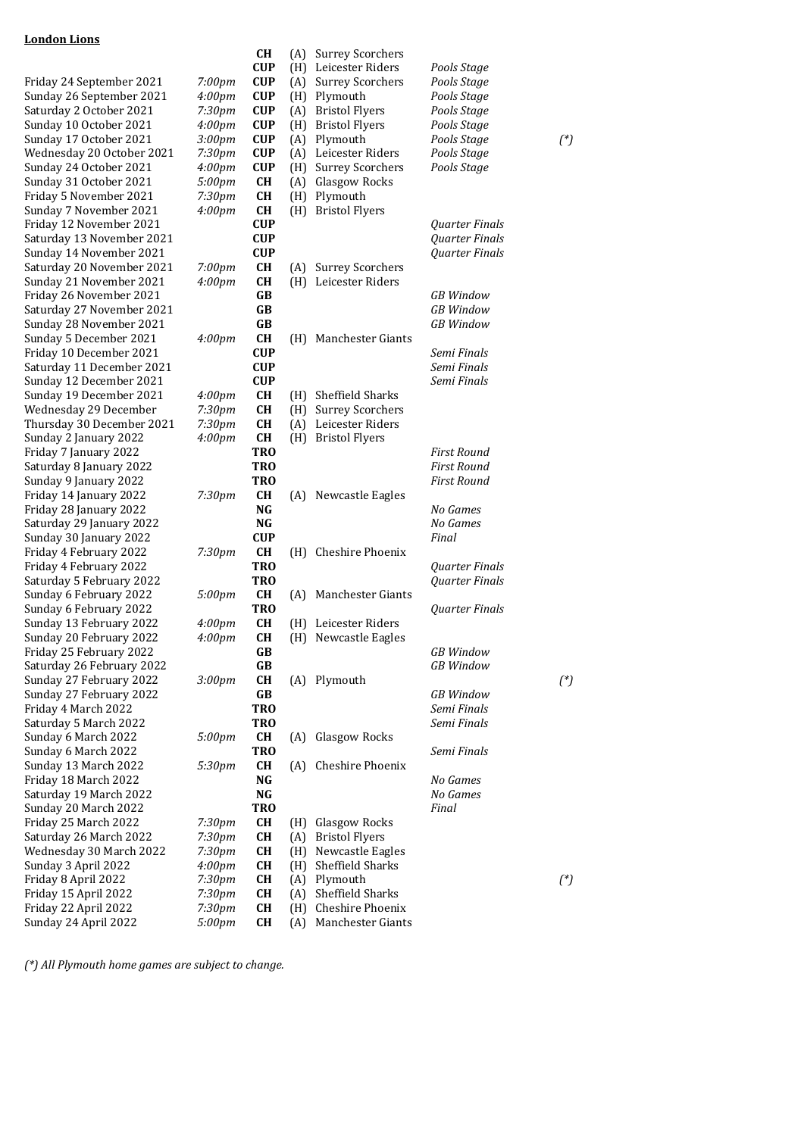## **London Lions**

|                           |                    | <b>CH</b>       | (A) | <b>Surrey Scorchers</b>  |                       |          |
|---------------------------|--------------------|-----------------|-----|--------------------------|-----------------------|----------|
|                           |                    | <b>CUP</b>      | (H) | Leicester Riders         | Pools Stage           |          |
| Friday 24 September 2021  | 7:00pm             | <b>CUP</b>      | (A) | <b>Surrey Scorchers</b>  | Pools Stage           |          |
| Sunday 26 September 2021  | 4:00 <sub>pm</sub> | <b>CUP</b>      | (H) | Plymouth                 | Pools Stage           |          |
| Saturday 2 October 2021   | 7:30pm             | <b>CUP</b>      | (A) | <b>Bristol Flyers</b>    | Pools Stage           |          |
| Sunday 10 October 2021    | 4:00 <sub>pm</sub> | <b>CUP</b>      | (H) | <b>Bristol Flyers</b>    | Pools Stage           |          |
| Sunday 17 October 2021    | 3:00 <sub>pm</sub> | <b>CUP</b>      | (A) | Plymouth                 | Pools Stage           | $({}^*)$ |
| Wednesday 20 October 2021 | 7:30pm             | <b>CUP</b>      | (A) | Leicester Riders         | Pools Stage           |          |
| Sunday 24 October 2021    | 4:00 <sub>pm</sub> | <b>CUP</b>      | (H) | <b>Surrey Scorchers</b>  | Pools Stage           |          |
| Sunday 31 October 2021    | 5:00pm             | <b>CH</b>       | (A) | Glasgow Rocks            |                       |          |
| Friday 5 November 2021    | 7:30pm             | <b>CH</b>       | (H) | Plymouth                 |                       |          |
| Sunday 7 November 2021    | 4:00 <sub>pm</sub> | <b>CH</b>       | (H) | <b>Bristol Flyers</b>    |                       |          |
| Friday 12 November 2021   |                    | <b>CUP</b>      |     |                          | Quarter Finals        |          |
| Saturday 13 November 2021 |                    | <b>CUP</b>      |     |                          | Quarter Finals        |          |
| Sunday 14 November 2021   |                    | <b>CUP</b>      |     |                          | Quarter Finals        |          |
| Saturday 20 November 2021 | 7:00pm             | <b>CH</b>       | (A) | <b>Surrey Scorchers</b>  |                       |          |
| Sunday 21 November 2021   | 4:00 <sub>pm</sub> | <b>CH</b>       |     | (H) Leicester Riders     |                       |          |
| Friday 26 November 2021   |                    | GB              |     |                          | <b>GB</b> Window      |          |
| Saturday 27 November 2021 |                    | GB              |     |                          | <b>GB</b> Window      |          |
| Sunday 28 November 2021   |                    | GB              |     |                          | <b>GB</b> Window      |          |
| Sunday 5 December 2021    |                    | <b>CH</b>       |     | (H) Manchester Giants    |                       |          |
|                           | 4:00 <sub>pm</sub> |                 |     |                          | Semi Finals           |          |
| Friday 10 December 2021   |                    | <b>CUP</b>      |     |                          |                       |          |
| Saturday 11 December 2021 |                    | <b>CUP</b>      |     |                          | Semi Finals           |          |
| Sunday 12 December 2021   |                    | <b>CUP</b>      |     |                          | Semi Finals           |          |
| Sunday 19 December 2021   | 4:00 <sub>pm</sub> | <b>CH</b>       | (H) | Sheffield Sharks         |                       |          |
| Wednesday 29 December     | 7:30 <sub>pm</sub> | <b>CH</b>       | (H) | <b>Surrey Scorchers</b>  |                       |          |
| Thursday 30 December 2021 | 7:30pm             | <b>CH</b>       | (A) | Leicester Riders         |                       |          |
| Sunday 2 January 2022     | 4:00 <sub>pm</sub> | <b>CH</b>       |     | (H) Bristol Flyers       |                       |          |
| Friday 7 January 2022     |                    | <b>TRO</b>      |     |                          | <b>First Round</b>    |          |
| Saturday 8 January 2022   |                    | <b>TRO</b>      |     |                          | <b>First Round</b>    |          |
| Sunday 9 January 2022     |                    | <b>TRO</b>      |     |                          | <b>First Round</b>    |          |
| Friday 14 January 2022    | 7:30pm             | <b>CH</b>       |     | (A) Newcastle Eagles     |                       |          |
| Friday 28 January 2022    |                    | NG              |     |                          | No Games              |          |
| Saturday 29 January 2022  |                    | <b>NG</b>       |     |                          | No Games              |          |
| Sunday 30 January 2022    |                    | <b>CUP</b>      |     |                          | Final                 |          |
| Friday 4 February 2022    | 7:30pm             | <b>CH</b>       |     | (H) Cheshire Phoenix     |                       |          |
| Friday 4 February 2022    |                    | <b>TRO</b>      |     |                          | Quarter Finals        |          |
| Saturday 5 February 2022  |                    | <b>TRO</b>      |     |                          | Quarter Finals        |          |
| Sunday 6 February 2022    | 5:00pm             | <b>CH</b>       | (A) | <b>Manchester Giants</b> |                       |          |
| Sunday 6 February 2022    |                    | <b>TRO</b>      |     |                          | <b>Quarter Finals</b> |          |
| Sunday 13 February 2022   | 4:00 <sub>pm</sub> | <b>CH</b>       |     | (H) Leicester Riders     |                       |          |
| Sunday 20 February 2022   | 4:00 <sub>pm</sub> | <b>CH</b>       |     | (H) Newcastle Eagles     |                       |          |
| Friday 25 February 2022   |                    | GB              |     |                          | GB Window             |          |
| Saturday 26 February 2022 |                    | GB              |     |                          | <b>GB</b> Window      |          |
| Sunday 27 February 2022   | 3:00pm             | CH              |     | (A) Plymouth             |                       | $({}^*)$ |
| Sunday 27 February 2022   |                    | GB              |     |                          | <b>GB</b> Window      |          |
| Friday 4 March 2022       |                    | TR <sub>0</sub> |     |                          | Semi Finals           |          |
| Saturday 5 March 2022     |                    | <b>TRO</b>      |     |                          | Semi Finals           |          |
| Sunday 6 March 2022       | 5:00pm             | <b>CH</b>       | (A) | Glasgow Rocks            |                       |          |
| Sunday 6 March 2022       |                    | <b>TRO</b>      |     |                          | Semi Finals           |          |
| Sunday 13 March 2022      | 5:30pm             | CН              | (A) | Cheshire Phoenix         |                       |          |
| Friday 18 March 2022      |                    | NG              |     |                          | No Games              |          |
| Saturday 19 March 2022    |                    | NG              |     |                          | No Games              |          |
| Sunday 20 March 2022      |                    | <b>TRO</b>      |     |                          |                       |          |
|                           |                    |                 |     |                          | Final                 |          |
| Friday 25 March 2022      | 7:30pm             | <b>CH</b>       | (H) | Glasgow Rocks            |                       |          |
| Saturday 26 March 2022    | 7:30pm             | <b>CH</b>       | (A) | <b>Bristol Flyers</b>    |                       |          |
| Wednesday 30 March 2022   | 7:30pm             | <b>CH</b>       | (H) | Newcastle Eagles         |                       |          |
| Sunday 3 April 2022       | 4:00 <sub>pm</sub> | <b>CH</b>       | (H) | Sheffield Sharks         |                       |          |
| Friday 8 April 2022       | 7:30pm             | <b>CH</b>       | (A) | Plymouth                 |                       | $(^*)$   |
| Friday 15 April 2022      | 7:30pm             | <b>CH</b>       | (A) | Sheffield Sharks         |                       |          |
| Friday 22 April 2022      | 7:30pm             | <b>CH</b>       | (H) | Cheshire Phoenix         |                       |          |
| Sunday 24 April 2022      | 5:00pm             | <b>CH</b>       | (A) | Manchester Giants        |                       |          |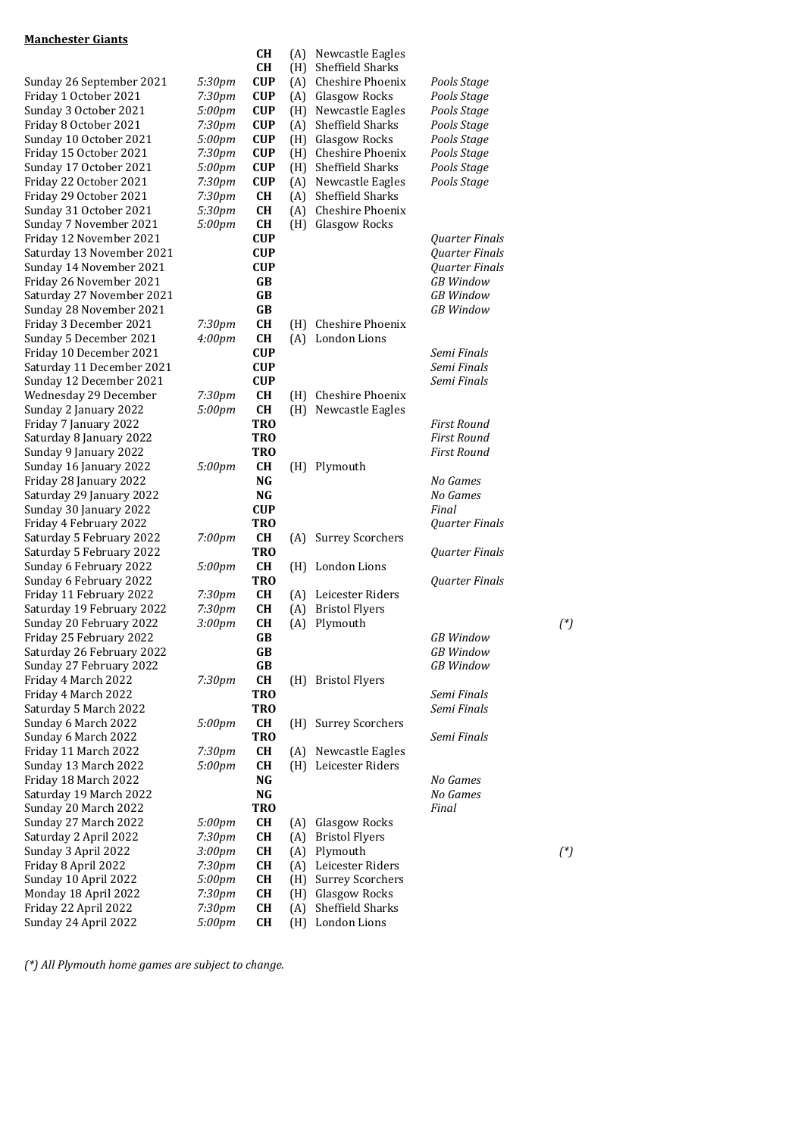#### **Manchester Giants**

|                                              |                    | CН,                    | (H) | Sheffield Shai        |
|----------------------------------------------|--------------------|------------------------|-----|-----------------------|
| Sunday 26 September 2021                     | 5:30pm             | <b>CUP</b>             | (A) | Cheshire Pho          |
| Friday 1 October 2021                        | 7:30pm             | CUP                    | (A) | Glasgow Rocl          |
| Sunday 3 October 2021                        | 5:00pm             | CUP                    | (H) | Newcastle Ea          |
| Friday 8 October 2021                        | 7:30pm             | CUP                    | (A) | Sheffield Shar        |
| Sunday 10 October 2021                       | 5:00pm             | CUP                    | (H) | Glasgow Rocl          |
| Friday 15 October 2021                       | 7:30pm             | <b>CUP</b>             | (H) | Cheshire Pho          |
| Sunday 17 October 2021                       | 5:00pm             | CUP                    | (H) | Sheffield Shar        |
| Friday 22 October 2021                       | 7:30pm             | CUP                    | (A) | Newcastle Ea          |
| Friday 29 October 2021                       | 7:30 <sub>pm</sub> | <b>CH</b>              | (A) | Sheffield Shar        |
| Sunday 31 October 2021                       | 5:30pm             | CН                     | (A) | Cheshire Pho          |
| Sunday 7 November 2021                       | 5:00pm             | CН                     | (H) | Glasgow Rocl          |
| Friday 12 November 2021                      |                    | CUP                    |     |                       |
| Saturday 13 November 2021                    |                    | CUP                    |     |                       |
| Sunday 14 November 2021                      |                    | CUP                    |     |                       |
| Friday 26 November 2021                      |                    | GB                     |     |                       |
| Saturday 27 November 2021                    |                    | <b>GB</b>              |     |                       |
| Sunday 28 November 2021                      |                    | GB                     |     |                       |
| Friday 3 December 2021                       | 7:30pm             | CН                     | (H) | Cheshire Pho          |
| Sunday 5 December 2021                       | 4:00 <sub>pm</sub> | CН                     | (A) | London Lions          |
| Friday 10 December 2021                      |                    | <b>CUP</b>             |     |                       |
| Saturday 11 December 2021                    |                    | CUP                    |     |                       |
| Sunday 12 December 2021                      |                    | <b>CUP</b>             |     |                       |
| Wednesday 29 December                        | 7:30pm             | <b>CH</b>              | (H) | Cheshire Pho          |
| Sunday 2 January 2022                        | 5:00pm             | CН                     | (H) | Newcastle Ea          |
| Friday 7 January 2022                        |                    | TRO                    |     |                       |
| Saturday 8 January 2022                      |                    | <b>TRO</b>             |     |                       |
| Sunday 9 January 2022                        |                    | TRO                    |     |                       |
| Sunday 16 January 2022                       | 5:00pm             | <b>CH</b>              | (H) | Plymouth              |
| Friday 28 January 2022                       |                    | NG                     |     |                       |
| Saturday 29 January 2022                     |                    | NG                     |     |                       |
| Sunday 30 January 2022                       |                    | <b>CUP</b>             |     |                       |
| Friday 4 February 2022                       |                    | <b>TRO</b>             |     |                       |
| Saturday 5 February 2022                     | 7:00pm             | CН                     | (A) | Surrey Scorcl         |
| Saturday 5 February 2022                     |                    | <b>TRO</b>             |     |                       |
| Sunday 6 February 2022                       | 5:00pm             | <b>CH</b>              | (H) | London Lions          |
| Sunday 6 February 2022                       |                    | <b>TRO</b>             |     |                       |
| Friday 11 February 2022                      | 7:30 <sub>pm</sub> | CН                     | (A) | Leicester Rid         |
| Saturday 19 February 2022                    | 7:30pm             | <b>CH</b>              | (A) | <b>Bristol Flyers</b> |
| Sunday 20 February 2022                      | 3:00pm             | <b>CH</b>              | (A) | Plymouth              |
| Friday 25 February 2022                      |                    | GB                     |     |                       |
| Saturday 26 February 2022                    |                    | GB                     |     |                       |
| Sunday 27 February 2022                      |                    | GB                     |     |                       |
| Friday 4 March 2022                          | 7:30pm             | CH                     | (H) | <b>Bristol Flyers</b> |
| Friday 4 March 2022                          |                    | <b>TRO</b>             |     |                       |
| Saturday 5 March 2022                        |                    | <b>TRO</b>             |     |                       |
| Sunday 6 March 2022                          | 5:00pm             | CН                     | (H) | Surrey Scorcl         |
| Sunday 6 March 2022                          |                    | <b>TRO</b>             |     | Newcastle Ea          |
| Friday 11 March 2022                         | 7:30pm             | CН<br>CН               | (A) | Leicester Rid         |
| Sunday 13 March 2022<br>Friday 18 March 2022 | 5:00pm             | NG                     | (H) |                       |
| Saturday 19 March 2022                       |                    | $\mathbf{N}\mathbf{G}$ |     |                       |
| Sunday 20 March 2022                         |                    | <b>TRO</b>             |     |                       |
| Sunday 27 March 2022                         | 5:00pm             | CН                     | (A) | Glasgow Rocl          |
| Saturday 2 April 2022                        | 7:30 <sub>pm</sub> | <b>CH</b>              | (A) | <b>Bristol Flyers</b> |
| Sunday 3 April 2022                          | 3:00pm             | CН                     | (A) | Plymouth              |
| Friday 8 April 2022                          | 7:30pm             | <b>CH</b>              | (A) | Leicester Rid         |
| Sunday 10 April 2022                         | 5:00pm             | CН                     | (H) | Surrey Scorcl         |
| Monday 18 April 2022                         | 7:30pm             | CН                     | (H) | Glasgow Rocl          |
| Friday 22 April 2022                         | 7:30pm             | <b>CH</b>              | (A) | Sheffield Shar        |
| Sunday 24 April 2022                         | 5:00pm             | <b>CH</b>              | (H) | London Lions          |
|                                              |                    |                        |     |                       |

| <u>maillitestel ulaills</u>                          |                    |                                             |                          |                                                                           |                            |          |
|------------------------------------------------------|--------------------|---------------------------------------------|--------------------------|---------------------------------------------------------------------------|----------------------------|----------|
| Sunday 26 September 2021<br>Friday 1 October 2021    | 5:30pm<br>7:30pm   | <b>CH</b><br>CH<br><b>CUP</b><br><b>CUP</b> | (A)<br>(H)<br>(A)<br>(A) | Newcastle Eagles<br>Sheffield Sharks<br>Cheshire Phoenix<br>Glasgow Rocks | Pools Stage<br>Pools Stage |          |
| Sunday 3 October 2021                                | 5:00pm             | <b>CUP</b>                                  | (H)                      | Newcastle Eagles                                                          | Pools Stage                |          |
| Friday 8 October 2021                                | 7:30 <sub>pm</sub> | <b>CUP</b>                                  | (A)                      | Sheffield Sharks                                                          | Pools Stage                |          |
| Sunday 10 October 2021                               | 5:00pm             | <b>CUP</b>                                  | (H)                      | Glasgow Rocks                                                             | Pools Stage                |          |
| Friday 15 October 2021                               | 7:30pm             | <b>CUP</b>                                  | (H)                      | Cheshire Phoenix                                                          | Pools Stage                |          |
| Sunday 17 October 2021                               | 5:00pm             | <b>CUP</b>                                  | (H)                      | Sheffield Sharks                                                          | Pools Stage                |          |
| Friday 22 October 2021                               | 7:30pm             | <b>CUP</b>                                  | (A)                      | Newcastle Eagles                                                          | Pools Stage                |          |
| Friday 29 October 2021                               | 7:30 <sub>pm</sub> | <b>CH</b>                                   | (A)                      | <b>Sheffield Sharks</b>                                                   |                            |          |
| Sunday 31 October 2021                               | 5:30pm             | <b>CH</b>                                   | (A)                      | Cheshire Phoenix                                                          |                            |          |
| Sunday 7 November 2021                               | 5:00pm             | CH                                          | (H)                      | Glasgow Rocks                                                             |                            |          |
| Friday 12 November 2021                              |                    | <b>CUP</b>                                  |                          |                                                                           | Quarter Finals             |          |
| Saturday 13 November 2021                            |                    | <b>CUP</b>                                  |                          |                                                                           | Quarter Finals             |          |
| Sunday 14 November 2021                              |                    | <b>CUP</b>                                  |                          |                                                                           | Quarter Finals             |          |
| Friday 26 November 2021                              |                    | GB                                          |                          |                                                                           | <b>GB</b> Window           |          |
| Saturday 27 November 2021                            |                    | <b>GB</b>                                   |                          |                                                                           | <b>GB</b> Window           |          |
| Sunday 28 November 2021                              |                    | GB                                          |                          |                                                                           | <b>GB</b> Window           |          |
| Friday 3 December 2021                               | 7:30pm             | <b>CH</b>                                   | (H)                      | Cheshire Phoenix                                                          |                            |          |
| Sunday 5 December 2021                               | 4:00 <sub>pm</sub> | <b>CH</b>                                   |                          | (A) London Lions                                                          |                            |          |
| Friday 10 December 2021<br>Saturday 11 December 2021 |                    | <b>CUP</b><br><b>CUP</b>                    |                          |                                                                           | Semi Finals<br>Semi Finals |          |
|                                                      |                    |                                             |                          |                                                                           | Semi Finals                |          |
| Sunday 12 December 2021<br>Wednesday 29 December     | 7:30pm             | <b>CUP</b><br><b>CH</b>                     | (H)                      | Cheshire Phoenix                                                          |                            |          |
| Sunday 2 January 2022                                | 5:00pm             | <b>CH</b>                                   | (H)                      | Newcastle Eagles                                                          |                            |          |
| Friday 7 January 2022                                |                    | <b>TRO</b>                                  |                          |                                                                           | <b>First Round</b>         |          |
| Saturday 8 January 2022                              |                    | <b>TRO</b>                                  |                          |                                                                           | First Round                |          |
| Sunday 9 January 2022                                |                    | <b>TRO</b>                                  |                          |                                                                           | <b>First Round</b>         |          |
| Sunday 16 January 2022                               | 5:00pm             | <b>CH</b>                                   | (H)                      | Plymouth                                                                  |                            |          |
| Friday 28 January 2022                               |                    | <b>NG</b>                                   |                          |                                                                           | No Games                   |          |
| Saturday 29 January 2022                             |                    | <b>NG</b>                                   |                          |                                                                           | No Games                   |          |
| Sunday 30 January 2022                               |                    | <b>CUP</b>                                  |                          |                                                                           | Final                      |          |
| Friday 4 February 2022                               |                    | <b>TRO</b>                                  |                          |                                                                           | Quarter Finals             |          |
| Saturday 5 February 2022                             | 7:00pm             | <b>CH</b>                                   | (A)                      | <b>Surrey Scorchers</b>                                                   |                            |          |
| Saturday 5 February 2022                             |                    | TR <sub>0</sub>                             |                          |                                                                           | Quarter Finals             |          |
| Sunday 6 February 2022                               | 5:00pm             | CH                                          |                          | (H) London Lions                                                          |                            |          |
| Sunday 6 February 2022                               |                    | <b>TRO</b>                                  |                          |                                                                           | Quarter Finals             |          |
| Friday 11 February 2022                              | 7:30pm             | <b>CH</b>                                   | (A)                      | Leicester Riders                                                          |                            |          |
| Saturday 19 February 2022                            | 7:30pm             | <b>CH</b>                                   | (A)                      | <b>Bristol Flyers</b>                                                     |                            |          |
| Sunday 20 February 2022                              | 3:00pm             | <b>CH</b>                                   | (A)                      | Plymouth                                                                  |                            | $({}^*)$ |
| Friday 25 February 2022                              |                    | GB                                          |                          |                                                                           | <b>GB</b> Window           |          |
| Saturday 26 February 2022                            |                    | GB                                          |                          |                                                                           | <b>GB</b> Window           |          |
| Sunday 27 February 2022                              |                    | GB                                          |                          |                                                                           | <b>GB</b> Window           |          |
| Friday 4 March 2022                                  | 7:30pm             | <b>CH</b>                                   |                          | (H) Bristol Flyers                                                        |                            |          |
| Friday 4 March 2022                                  |                    | <b>TRO</b>                                  |                          |                                                                           | Semi Finals                |          |
| Saturday 5 March 2022                                |                    | <b>TRO</b>                                  |                          |                                                                           | Semi Finals                |          |
| Sunday 6 March 2022                                  | 5:00pm             | <b>CH</b>                                   | (H)                      | <b>Surrey Scorchers</b>                                                   |                            |          |
| Sunday 6 March 2022                                  |                    | <b>TRO</b>                                  |                          |                                                                           | Semi Finals                |          |
| Friday 11 March 2022<br>Sunday 13 March 2022         | 7:30pm             | <b>CH</b>                                   | (A)                      | Newcastle Eagles                                                          |                            |          |
|                                                      | 5:00pm             | <b>CH</b>                                   | (H)                      | Leicester Riders                                                          |                            |          |
| Friday 18 March 2022<br>Saturday 19 March 2022       |                    | NG<br>$\mathbf{N}\mathbf{G}$                |                          |                                                                           | No Games<br>No Games       |          |
| Sunday 20 March 2022                                 |                    | <b>TRO</b>                                  |                          |                                                                           | Final                      |          |
| Sunday 27 March 2022                                 | 5:00pm             | <b>CH</b>                                   | (A)                      | Glasgow Rocks                                                             |                            |          |
| Saturday 2 April 2022                                | 7:30pm             | <b>CH</b>                                   | (A)                      | <b>Bristol Flyers</b>                                                     |                            |          |
| Sunday 3 April 2022                                  | 3:00 <sub>pm</sub> | CH                                          | (A)                      | Plymouth                                                                  |                            | $({}^*)$ |
| Friday 8 April 2022                                  | 7:30pm             | <b>CH</b>                                   | (A)                      | Leicester Riders                                                          |                            |          |
| Sunday 10 April 2022                                 | 5:00pm             | <b>CH</b>                                   | (H)                      | <b>Surrey Scorchers</b>                                                   |                            |          |
| Monday 18 April 2022                                 | 7:30pm             | <b>CH</b>                                   | (H)                      | Glasgow Rocks                                                             |                            |          |
| Friday 22 April 2022                                 | 7:30pm             | <b>CH</b>                                   | (A)                      | Sheffield Sharks                                                          |                            |          |
| Sunday 24 April 2022                                 | $5:00 \text{pm}$   | <b>CH</b>                                   |                          | (H) London Lions                                                          |                            |          |
|                                                      |                    |                                             |                          |                                                                           |                            |          |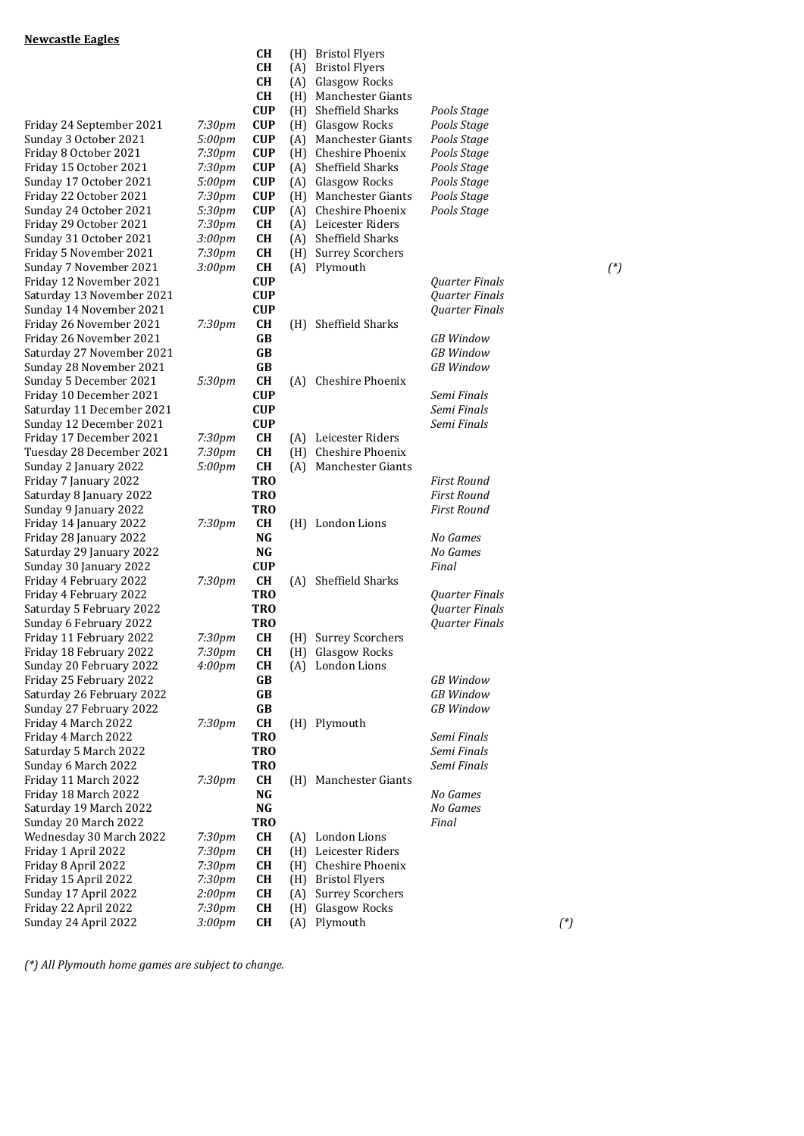|                           |                    | <b>CH</b>  | (H) | <b>Manchester Giants</b> |              |
|---------------------------|--------------------|------------|-----|--------------------------|--------------|
|                           |                    | <b>CUP</b> | (H) | Sheffield Sharks         | Pools        |
| Friday 24 September 2021  | 7:30pm             | <b>CUP</b> | (H) | <b>Glasgow Rocks</b>     | Pools        |
| Sunday 3 October 2021     | 5:00pm             | <b>CUP</b> | (A) | Manchester Giants        | Pools        |
| Friday 8 October 2021     | 7:30pm             | <b>CUP</b> | (H) | Cheshire Phoenix         | Pools        |
| Friday 15 October 2021    | 7:30pm             | <b>CUP</b> | (A) | Sheffield Sharks         | Pools        |
| Sunday 17 October 2021    | 5:00pm             | <b>CUP</b> | (A) | Glasgow Rocks            | <b>Pools</b> |
| Friday 22 October 2021    | 7:30pm             | <b>CUP</b> | (H) | Manchester Giants        | Pools        |
| Sunday 24 October 2021    | 5:30pm             | <b>CUP</b> | (A) | Cheshire Phoenix         | Pools        |
| Friday 29 October 2021    | 7:30pm             | <b>CH</b>  | (A) | Leicester Riders         |              |
| Sunday 31 October 2021    | 3:00pm             | CН         | (A) | Sheffield Sharks         |              |
| Friday 5 November 2021    | 7:30pm             | <b>CH</b>  | (H) | <b>Surrey Scorchers</b>  |              |
| Sunday 7 November 2021    | 3:00pm             | <b>CH</b>  | (A) | Plymouth                 |              |
| Friday 12 November 2021   |                    | <b>CUP</b> |     |                          | Quar         |
| Saturday 13 November 2021 |                    | <b>CUP</b> |     |                          | Quar         |
| Sunday 14 November 2021   |                    | <b>CUP</b> |     |                          | Quar         |
| Friday 26 November 2021   | 7:30pm             | <b>CH</b>  | (H) | Sheffield Sharks         |              |
| Friday 26 November 2021   |                    | GB         |     |                          | GB VI        |
| Saturday 27 November 2021 |                    | GB         |     |                          | GB V         |
| Sunday 28 November 2021   |                    | GB         |     |                          | GB VI        |
| Sunday 5 December 2021    | 5:30pm             | <b>CH</b>  | (A) | Cheshire Phoenix         |              |
| Friday 10 December 2021   |                    | <b>CUP</b> |     |                          | Semi         |
| Saturday 11 December 2021 |                    | <b>CUP</b> |     |                          | Semi         |
| Sunday 12 December 2021   |                    | <b>CUP</b> |     |                          | Semi         |
| Friday 17 December 2021   | 7:30pm             | <b>CH</b>  | (A) | Leicester Riders         |              |
| Tuesday 28 December 2021  | 7:30pm             | <b>CH</b>  | (H) | Cheshire Phoenix         |              |
| Sunday 2 January 2022     | 5:00pm             | CН         | (A) | Manchester Giants        |              |
| Friday 7 January 2022     |                    | <b>TRO</b> |     |                          | First        |
| Saturday 8 January 2022   |                    | <b>TRO</b> |     |                          | First        |
| Sunday 9 January 2022     |                    | <b>TRO</b> |     |                          | First        |
|                           |                    | CН         |     |                          |              |
| Friday 14 January 2022    | 7:30pm             | NG         | (H) | London Lions             | No G         |
| Friday 28 January 2022    |                    | NG         |     |                          | NoG          |
| Saturday 29 January 2022  |                    | <b>CUP</b> |     |                          |              |
| Sunday 30 January 2022    |                    |            |     |                          | Final        |
| Friday 4 February 2022    | 7:30pm             | CН         | (A) | Sheffield Sharks         |              |
| Friday 4 February 2022    |                    | <b>TRO</b> |     |                          | Quar         |
| Saturday 5 February 2022  |                    | <b>TRO</b> |     |                          | Quar         |
| Sunday 6 February 2022    |                    | <b>TRO</b> |     |                          | Quar         |
| Friday 11 February 2022   | 7:30 <sub>pm</sub> | CН         | (H) | <b>Surrey Scorchers</b>  |              |
| Friday 18 February 2022   | 7:30pm             | CН         | (H) | Glasgow Rocks            |              |
| Sunday 20 February 2022   | 4:00pm             | <b>CH</b>  | (A) | London Lions             |              |
| Friday 25 February 2022   |                    | GB         |     |                          | GB V         |
| Saturday 26 February 2022 |                    | GB         |     |                          | GB V         |
| Sunday 27 February 2022   |                    | GB         |     |                          | GB VI        |
| Friday 4 March 2022       | 7:30pm             | CH         | (H) | Plymouth                 |              |
| Friday 4 March 2022       |                    | <b>TRO</b> |     |                          | Semi         |
| Saturday 5 March 2022     |                    | <b>TRO</b> |     |                          | Semi         |
| Sunday 6 March 2022       |                    | <b>TRO</b> |     |                          | Semi         |
| Friday 11 March 2022      | 7:30pm             | CН         | (H) | Manchester Giants        |              |
| Friday 18 March 2022      |                    | NG         |     |                          | NoG          |
| Saturday 19 March 2022    |                    | NG         |     |                          | NoG          |
| Sunday 20 March 2022      |                    | <b>TRO</b> |     |                          | Final        |
| Wednesday 30 March 2022   | 7:30pm             | CН         | (A) | London Lions             |              |
| Friday 1 April 2022       | 7:30 <sub>pm</sub> | CН         | (H) | Leicester Riders         |              |
| Friday 8 April 2022       | 7:30pm             | <b>CH</b>  | (H) | Cheshire Phoenix         |              |
| Friday 15 April 2022      | 7:30pm             | CН         | (H) | <b>Bristol Flyers</b>    |              |
| Sunday 17 April 2022      | 2:00pm             | CН         | (A) | <b>Surrey Scorchers</b>  |              |
| Friday 22 April 2022      | 7:30pm             | <b>CH</b>  | (H) | Glasgow Rocks            |              |
| Sunday 24 April 2022      | 3:00 <sub>pm</sub> | CH         | (A) | Plymouth                 |              |
|                           |                    |            |     |                          |              |

| <u>Newcastle Eagles</u>                        |                                          |                                    |     |                                           |                            |          |          |
|------------------------------------------------|------------------------------------------|------------------------------------|-----|-------------------------------------------|----------------------------|----------|----------|
|                                                |                                          | <b>CH</b>                          | (H) | <b>Bristol Flyers</b>                     |                            |          |          |
|                                                |                                          | <b>CH</b>                          | (A) | <b>Bristol Flyers</b>                     |                            |          |          |
|                                                |                                          | <b>CH</b>                          | (A) | Glasgow Rocks                             |                            |          |          |
|                                                |                                          | <b>CH</b>                          | (H) | Manchester Giants                         |                            |          |          |
|                                                |                                          | <b>CUP</b>                         | (H) | Sheffield Sharks                          | Pools Stage                |          |          |
| Friday 24 September 2021                       | 7:30 <sub>pm</sub>                       | <b>CUP</b>                         | (H) | Glasgow Rocks                             | Pools Stage                |          |          |
| Sunday 3 October 2021<br>Friday 8 October 2021 | 5:00pm<br>7:30pm                         | <b>CUP</b><br><b>CUP</b>           | (A) | Manchester Giants<br>(H) Cheshire Phoenix | Pools Stage                |          |          |
| Friday 15 October 2021                         | 7:30pm                                   | <b>CUP</b>                         | (A) | Sheffield Sharks                          | Pools Stage<br>Pools Stage |          |          |
| Sunday 17 October 2021                         | 5:00pm                                   | <b>CUP</b>                         | (A) | Glasgow Rocks                             | Pools Stage                |          |          |
| Friday 22 October 2021                         | 7:30 <sub>pm</sub>                       | <b>CUP</b>                         | (H) | <b>Manchester Giants</b>                  | Pools Stage                |          |          |
| Sunday 24 October 2021                         | 5:30pm                                   | <b>CUP</b>                         | (A) | Cheshire Phoenix                          | Pools Stage                |          |          |
| Friday 29 October 2021                         | 7:30 <sub>pm</sub>                       | <b>CH</b>                          |     | (A) Leicester Riders                      |                            |          |          |
| Sunday 31 October 2021                         | 3:00 <sub>pm</sub>                       | <b>CH</b>                          | (A) | Sheffield Sharks                          |                            |          |          |
| Friday 5 November 2021                         | 7:30 <sub>pm</sub>                       | <b>CH</b>                          | (H) | <b>Surrey Scorchers</b>                   |                            |          |          |
| Sunday 7 November 2021                         | 3:00 <sub>pm</sub>                       | <b>CH</b>                          |     | (A) Plymouth                              |                            |          | $({}^*)$ |
| Friday 12 November 2021                        |                                          | <b>CUP</b>                         |     |                                           | Quarter Finals             |          |          |
| Saturday 13 November 2021                      |                                          | <b>CUP</b>                         |     |                                           | <b>Quarter Finals</b>      |          |          |
| Sunday 14 November 2021                        |                                          | <b>CUP</b>                         |     |                                           | Quarter Finals             |          |          |
| Friday 26 November 2021                        | 7:30 <sub>pm</sub>                       | <b>CH</b>                          | (H) | Sheffield Sharks                          |                            |          |          |
| Friday 26 November 2021                        |                                          | GB                                 |     |                                           | <b>GB</b> Window           |          |          |
| Saturday 27 November 2021                      |                                          | <b>GB</b>                          |     |                                           | <b>GB</b> Window           |          |          |
| Sunday 28 November 2021                        |                                          | GB                                 |     |                                           | <b>GB</b> Window           |          |          |
| Sunday 5 December 2021                         | 5:30pm                                   | <b>CH</b>                          | (A) | Cheshire Phoenix                          |                            |          |          |
| Friday 10 December 2021                        |                                          | <b>CUP</b>                         |     |                                           | Semi Finals                |          |          |
| Saturday 11 December 2021                      |                                          | <b>CUP</b>                         |     |                                           | Semi Finals                |          |          |
| Sunday 12 December 2021                        |                                          | <b>CUP</b>                         |     |                                           | Semi Finals                |          |          |
| Friday 17 December 2021                        | 7:30pm                                   | <b>CH</b>                          | (A) | Leicester Riders                          |                            |          |          |
| Tuesday 28 December 2021                       | 7:30 <sub>pm</sub>                       | <b>CH</b>                          |     | (H) Cheshire Phoenix                      |                            |          |          |
| Sunday 2 January 2022                          | 5:00pm                                   | <b>CH</b>                          | (A) | Manchester Giants                         |                            |          |          |
| Friday 7 January 2022                          |                                          | <b>TRO</b>                         |     |                                           | <b>First Round</b>         |          |          |
| Saturday 8 January 2022                        |                                          | <b>TRO</b>                         |     |                                           | <b>First Round</b>         |          |          |
| Sunday 9 January 2022                          |                                          | <b>TRO</b>                         |     |                                           | <b>First Round</b>         |          |          |
| Friday 14 January 2022                         | 7:30 <sub>pm</sub>                       | <b>CH</b>                          |     | (H) London Lions                          |                            |          |          |
| Friday 28 January 2022                         |                                          | <b>NG</b>                          |     |                                           | No Games                   |          |          |
| Saturday 29 January 2022                       |                                          | NG                                 |     |                                           | No Games                   |          |          |
| Sunday 30 January 2022                         |                                          | <b>CUP</b>                         |     |                                           | Final                      |          |          |
| Friday 4 February 2022                         | 7:30 <sub>pm</sub>                       | <b>CH</b>                          | (A) | Sheffield Sharks                          |                            |          |          |
| Friday 4 February 2022                         |                                          | <b>TRO</b>                         |     |                                           | Quarter Finals             |          |          |
| Saturday 5 February 2022                       |                                          | <b>TRO</b>                         |     |                                           | <b>Quarter Finals</b>      |          |          |
| Sunday 6 February 2022                         |                                          | <b>TRO</b>                         |     |                                           | Quarter Finals             |          |          |
| Friday 11 February 2022                        | 7:30pm                                   | <b>CH</b>                          |     | (H) Surrey Scorchers                      |                            |          |          |
| Friday 18 February 2022                        | 7:30 <sub>pm</sub>                       | <b>CH</b>                          |     | (H) Glasgow Rocks                         |                            |          |          |
| Sunday 20 February 2022                        | 4:00 <sub>pm</sub>                       | CH                                 | (A) | London Lions                              |                            |          |          |
| Friday 25 February 2022                        |                                          | GB                                 |     |                                           | <b>GB</b> Window           |          |          |
| Saturday 26 February 2022                      |                                          | GB                                 |     |                                           | <b>GB</b> Window           |          |          |
| Sunday 27 February 2022                        |                                          | $\bf GB$                           |     |                                           | <b>GB</b> Window           |          |          |
| Friday 4 March 2022                            | 7:30 <sub>pm</sub>                       | <b>CH</b>                          |     | (H) Plymouth                              |                            |          |          |
| Friday 4 March 2022                            |                                          | <b>TRO</b>                         |     |                                           | Semi Finals                |          |          |
| Saturday 5 March 2022                          |                                          | <b>TRO</b>                         |     |                                           | Semi Finals                |          |          |
| Sunday 6 March 2022                            |                                          | <b>TRO</b>                         |     |                                           | Semi Finals                |          |          |
| Friday 11 March 2022                           | 7:30 <sub>pm</sub>                       | <b>CH</b>                          |     | (H) Manchester Giants                     |                            |          |          |
| Friday 18 March 2022                           |                                          | $\mathbf{N}\mathbf{G}$<br>$\bf NG$ |     |                                           | No Games                   |          |          |
| Saturday 19 March 2022<br>Sunday 20 March 2022 |                                          | <b>TRO</b>                         |     |                                           | No Games<br>Final          |          |          |
|                                                |                                          |                                    |     |                                           |                            |          |          |
| Wednesday 30 March 2022<br>Friday 1 April 2022 | 7:30 <sub>pm</sub><br>7:30 <sub>pm</sub> | CH<br>CH                           |     | (A) London Lions<br>(H) Leicester Riders  |                            |          |          |
| Friday 8 April 2022                            | 7:30 <sub>pm</sub>                       | <b>CH</b>                          |     | (H) Cheshire Phoenix                      |                            |          |          |
| Friday 15 April 2022                           | 7:30 <sub>pm</sub>                       | CH                                 | (H) | <b>Bristol Flyers</b>                     |                            |          |          |
| Sunday 17 April 2022                           | 2:00 <sub>pm</sub>                       | CH                                 | (A) | <b>Surrey Scorchers</b>                   |                            |          |          |
| Friday 22 April 2022                           | 7:30 <sub>pm</sub>                       | CH                                 | (H) | Glasgow Rocks                             |                            |          |          |
| Sunday 24 April 2022                           | 3:00pm                                   | <b>CH</b>                          | (A) | Plymouth                                  |                            | $({}^*)$ |          |
|                                                |                                          |                                    |     |                                           |                            |          |          |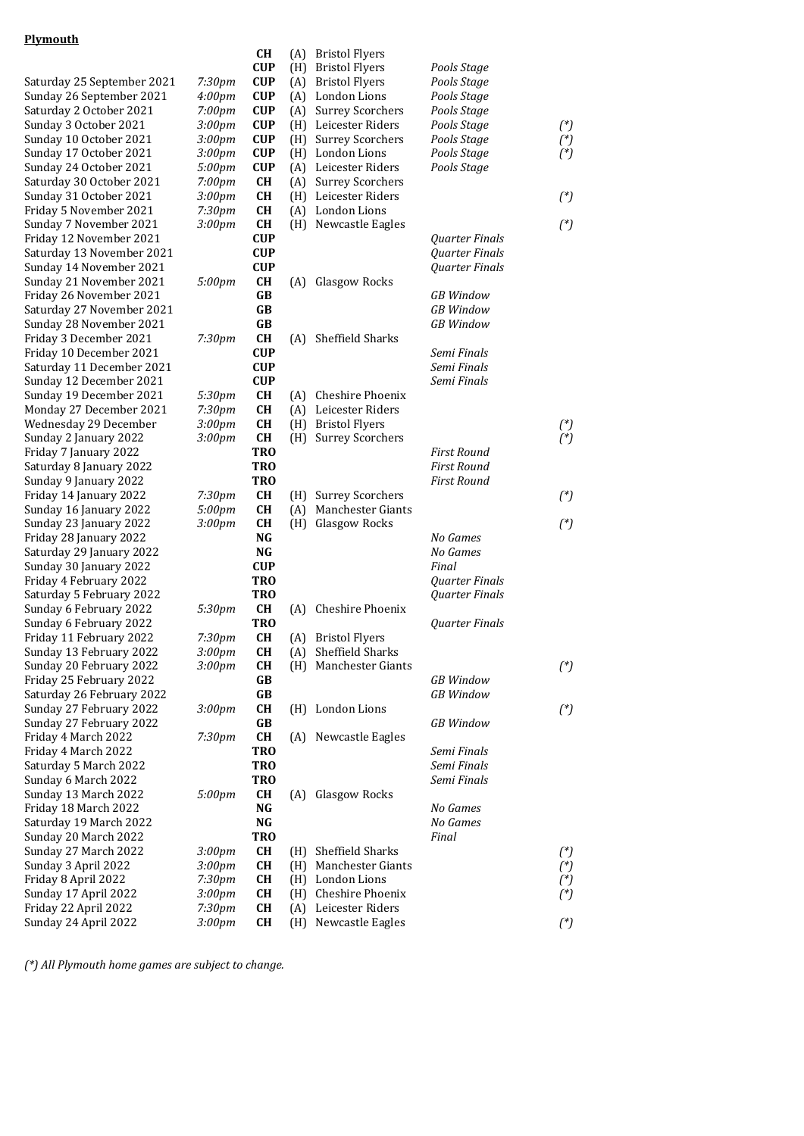## **Plymouth**

|                                                |                    | CH                      | (A) | <b>Bristol Flyers</b>    |                    |          |
|------------------------------------------------|--------------------|-------------------------|-----|--------------------------|--------------------|----------|
|                                                |                    | <b>CUP</b>              | (H) | <b>Bristol Flyers</b>    | Pools Stage        |          |
| Saturday 25 September 2021                     | 7:30pm             | <b>CUP</b>              | (A) | <b>Bristol Flyers</b>    | Pools Stage        |          |
| Sunday 26 September 2021                       | 4:00 <sub>pm</sub> | <b>CUP</b>              | (A) | London Lions             | Pools Stage        |          |
| Saturday 2 October 2021                        | 7:00pm             | <b>CUP</b>              | (A) | <b>Surrey Scorchers</b>  | Pools Stage        |          |
| Sunday 3 October 2021                          | 3:00pm             | <b>CUP</b>              | (H) | Leicester Riders         | Pools Stage        | $({}^*)$ |
| Sunday 10 October 2021                         | 3:00pm             | <b>CUP</b>              | (H) | <b>Surrey Scorchers</b>  | Pools Stage        | $({}^*)$ |
| Sunday 17 October 2021                         | 3:00 <sub>pm</sub> | <b>CUP</b>              | (H) | London Lions             | Pools Stage        | $({}^*)$ |
| Sunday 24 October 2021                         | 5:00pm             | <b>CUP</b>              | (A) | Leicester Riders         | Pools Stage        |          |
| Saturday 30 October 2021                       | 7:00pm             | CH                      | (A) | <b>Surrey Scorchers</b>  |                    |          |
| Sunday 31 October 2021                         | 3:00pm             | <b>CH</b>               | (H) | Leicester Riders         |                    | $(^*)$   |
| Friday 5 November 2021                         | 7:30 <sub>pm</sub> | <b>CH</b>               | (A) | London Lions             |                    |          |
| Sunday 7 November 2021                         | 3:00 <sub>pm</sub> | CH                      | (H) | Newcastle Eagles         |                    | $(^*)$   |
| Friday 12 November 2021                        |                    | <b>CUP</b>              |     |                          | Quarter Finals     |          |
| Saturday 13 November 2021                      |                    | <b>CUP</b>              |     |                          | Quarter Finals     |          |
| Sunday 14 November 2021                        |                    | <b>CUP</b>              |     |                          | Quarter Finals     |          |
| Sunday 21 November 2021                        | 5:00pm             | <b>CH</b>               | (A) | Glasgow Rocks            |                    |          |
| Friday 26 November 2021                        |                    | <b>GB</b>               |     |                          | <b>GB</b> Window   |          |
| Saturday 27 November 2021                      |                    | GB                      |     |                          | <b>GB</b> Window   |          |
| Sunday 28 November 2021                        |                    | <b>GB</b>               |     |                          | <b>GB</b> Window   |          |
| Friday 3 December 2021                         | 7:30pm             | CH                      | (A) | Sheffield Sharks         |                    |          |
| Friday 10 December 2021                        |                    | <b>CUP</b>              |     |                          | Semi Finals        |          |
| Saturday 11 December 2021                      |                    | <b>CUP</b>              |     |                          | Semi Finals        |          |
| Sunday 12 December 2021                        |                    | <b>CUP</b>              |     |                          | Semi Finals        |          |
| Sunday 19 December 2021                        | 5:30pm             | CH                      | (A) | Cheshire Phoenix         |                    |          |
| Monday 27 December 2021                        | 7:30pm             | <b>CH</b>               | (A) | Leicester Riders         |                    |          |
| Wednesday 29 December                          | 3:00pm             | CH                      | (H) | <b>Bristol Flyers</b>    |                    | $(^*)$   |
| Sunday 2 January 2022<br>Friday 7 January 2022 | 3:00 <sub>pm</sub> | <b>CH</b><br><b>TRO</b> | (H) | <b>Surrey Scorchers</b>  | <b>First Round</b> | $({}^*)$ |
| Saturday 8 January 2022                        |                    | <b>TRO</b>              |     |                          | <b>First Round</b> |          |
| Sunday 9 January 2022                          |                    | <b>TRO</b>              |     |                          | <b>First Round</b> |          |
| Friday 14 January 2022                         | 7:30pm             | CH                      | (H) | <b>Surrey Scorchers</b>  |                    | $(^*)$   |
| Sunday 16 January 2022                         | 5:00pm             | <b>CH</b>               | (A) | <b>Manchester Giants</b> |                    |          |
| Sunday 23 January 2022                         | 3:00 <sub>pm</sub> | <b>CH</b>               | (H) | Glasgow Rocks            |                    | $(^*)$   |
| Friday 28 January 2022                         |                    | <b>NG</b>               |     |                          | No Games           |          |
| Saturday 29 January 2022                       |                    | NG                      |     |                          | No Games           |          |
| Sunday 30 January 2022                         |                    | <b>CUP</b>              |     |                          | Final              |          |
| Friday 4 February 2022                         |                    | <b>TRO</b>              |     |                          | Quarter Finals     |          |
| Saturday 5 February 2022                       |                    | <b>TRO</b>              |     |                          | Quarter Finals     |          |
| Sunday 6 February 2022                         | 5:30pm             | <b>CH</b>               | (A) | Cheshire Phoenix         |                    |          |
| Sunday 6 February 2022                         |                    | <b>TRO</b>              |     |                          | Quarter Finals     |          |
| Friday 11 February 2022                        | 7:30pm             | <b>CH</b>               |     | (A) Bristol Flyers       |                    |          |
| Sunday 13 February 2022                        | 3:00pm             | <b>CH</b>               |     | (A) Sheffield Sharks     |                    |          |
| Sunday 20 February 2022                        | 3:00pm             | CH                      |     | (H) Manchester Giants    |                    | $(^*)$   |
| Friday 25 February 2022                        |                    | GB                      |     |                          | <b>GB</b> Window   |          |
| Saturday 26 February 2022                      |                    | GB                      |     |                          | <b>GB</b> Window   |          |
| Sunday 27 February 2022                        | 3:00pm             | CH                      |     | (H) London Lions         |                    | $({}^*)$ |
| Sunday 27 February 2022                        |                    | GB                      |     |                          | <b>GB</b> Window   |          |
| Friday 4 March 2022                            | 7:30pm             | CH                      | (A) | Newcastle Eagles         |                    |          |
| Friday 4 March 2022                            |                    | <b>TRO</b>              |     |                          | Semi Finals        |          |
| Saturday 5 March 2022                          |                    | <b>TRO</b>              |     |                          | Semi Finals        |          |
| Sunday 6 March 2022                            |                    | <b>TRO</b>              |     |                          | Semi Finals        |          |
| Sunday 13 March 2022                           | 5:00pm             | <b>CH</b>               | (A) | Glasgow Rocks            |                    |          |
| Friday 18 March 2022                           |                    | NG                      |     |                          | No Games           |          |
| Saturday 19 March 2022                         |                    | $\mathbf{N}\mathbf{G}$  |     |                          | No Games           |          |
| Sunday 20 March 2022                           |                    | <b>TRO</b>              |     |                          | Final              |          |
| Sunday 27 March 2022                           | 3:00 <sub>pm</sub> | <b>CH</b>               | (H) | Sheffield Sharks         |                    | $({}^*)$ |
| Sunday 3 April 2022                            | 3:00 <sub>pm</sub> | CH                      | (H) | Manchester Giants        |                    | $({}^*)$ |
| Friday 8 April 2022                            | 7:30pm             | CH                      | (H) | London Lions             |                    | $({}^*)$ |
| Sunday 17 April 2022                           | 3:00pm             | CH                      | (H) | Cheshire Phoenix         |                    | $({}^*)$ |
| Friday 22 April 2022                           | 7:30pm             | CH                      | (A) | Leicester Riders         |                    |          |
| Sunday 24 April 2022                           | 3:00 <sub>pm</sub> | CH                      | (H) | Newcastle Eagles         |                    | $({}^*)$ |
|                                                |                    |                         |     |                          |                    |          |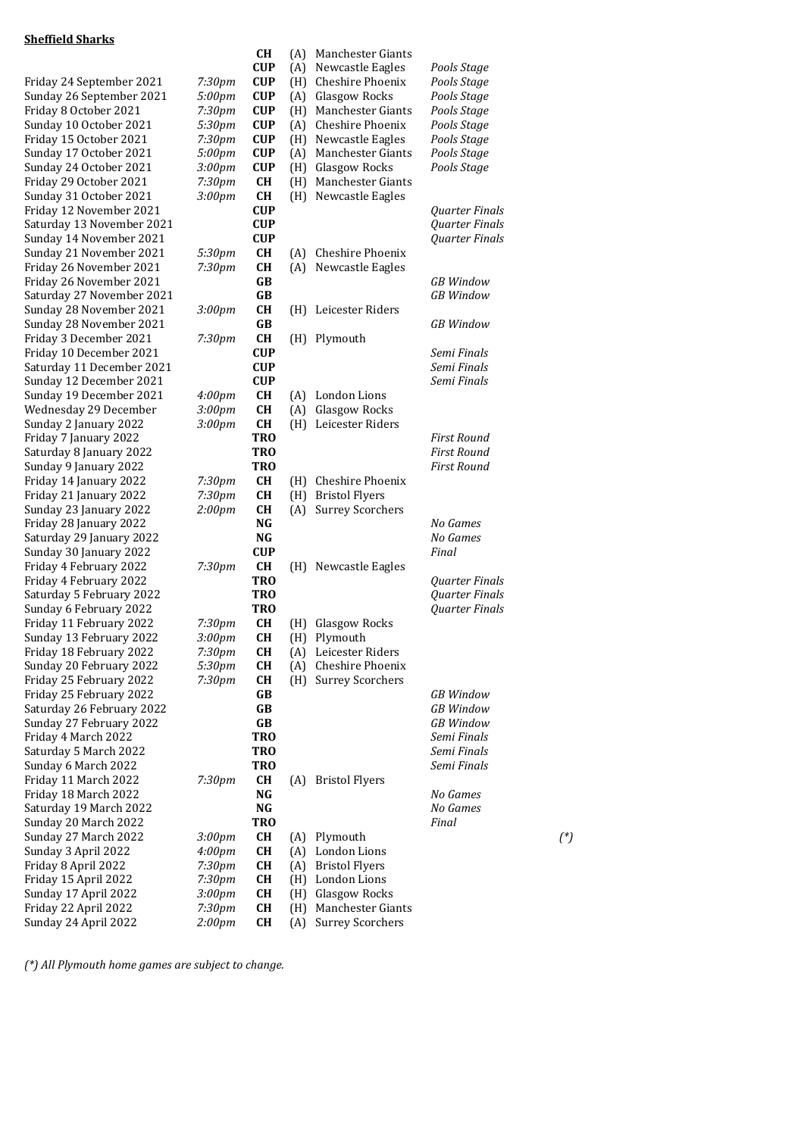## **Sheffield Sharks**

|                                                      |                    | CH                       |     | (A) Manchester Giants                           |                                      |          |
|------------------------------------------------------|--------------------|--------------------------|-----|-------------------------------------------------|--------------------------------------|----------|
|                                                      |                    | <b>CUP</b>               |     | (A) Newcastle Eagles                            | Pools Stage                          |          |
| Friday 24 September 2021                             | 7:30 <sub>pm</sub> | <b>CUP</b>               |     | (H) Cheshire Phoenix                            | Pools Stage                          |          |
| Sunday 26 September 2021                             | 5:00pm             | <b>CUP</b>               |     | (A) Glasgow Rocks                               | Pools Stage                          |          |
| Friday 8 October 2021                                | 7:30 <sub>pm</sub> | <b>CUP</b>               |     | (H) Manchester Giants                           | Pools Stage                          |          |
| Sunday 10 October 2021                               | 5:30pm             | <b>CUP</b>               |     | (A) Cheshire Phoenix                            | Pools Stage                          |          |
| Friday 15 October 2021                               | 7:30 <sub>pm</sub> | <b>CUP</b>               |     | (H) Newcastle Eagles                            | Pools Stage                          |          |
| Sunday 17 October 2021                               | 5:00pm             | <b>CUP</b>               | (A) | Manchester Giants                               | Pools Stage                          |          |
| Sunday 24 October 2021                               | 3:00pm             | <b>CUP</b>               |     | (H) Glasgow Rocks                               | Pools Stage                          |          |
| Friday 29 October 2021                               | 7:30pm             | <b>CH</b>                |     | (H) Manchester Giants                           |                                      |          |
| Sunday 31 October 2021                               | 3:00 <sub>pm</sub> | CH                       |     | (H) Newcastle Eagles                            |                                      |          |
| Friday 12 November 2021                              |                    | <b>CUP</b>               |     |                                                 | Quarter Finals                       |          |
| Saturday 13 November 2021                            |                    | <b>CUP</b>               |     |                                                 | Quarter Finals                       |          |
| Sunday 14 November 2021                              |                    | <b>CUP</b>               |     |                                                 | Quarter Finals                       |          |
| Sunday 21 November 2021                              | 5:30pm             | <b>CH</b>                | (A) | Cheshire Phoenix                                |                                      |          |
| Friday 26 November 2021                              | 7:30pm             | <b>CH</b>                |     | (A) Newcastle Eagles                            |                                      |          |
| Friday 26 November 2021                              |                    | GB                       |     |                                                 | <b>GB</b> Window                     |          |
| Saturday 27 November 2021                            |                    | <b>GB</b>                |     |                                                 | <b>GB</b> Window                     |          |
| Sunday 28 November 2021                              | 3:00 <sub>pm</sub> | CH                       |     | (H) Leicester Riders                            |                                      |          |
| Sunday 28 November 2021                              |                    | <b>GB</b>                |     |                                                 | <b>GB</b> Window                     |          |
| Friday 3 December 2021<br>Friday 10 December 2021    | 7:30pm             | CH                       |     | (H) Plymouth                                    | Semi Finals                          |          |
| Saturday 11 December 2021                            |                    | <b>CUP</b><br><b>CUP</b> |     |                                                 | Semi Finals                          |          |
| Sunday 12 December 2021                              |                    | <b>CUP</b>               |     |                                                 | Semi Finals                          |          |
| Sunday 19 December 2021                              | 4:00 <sub>pm</sub> | CH                       |     | (A) London Lions                                |                                      |          |
| Wednesday 29 December                                | 3:00pm             | CH                       |     | (A) Glasgow Rocks                               |                                      |          |
| Sunday 2 January 2022                                | 3:00pm             | CH                       |     | (H) Leicester Riders                            |                                      |          |
| Friday 7 January 2022                                |                    | <b>TRO</b>               |     |                                                 | <b>First Round</b>                   |          |
| Saturday 8 January 2022                              |                    | TRO                      |     |                                                 | <b>First Round</b>                   |          |
| Sunday 9 January 2022                                |                    | <b>TRO</b>               |     |                                                 | <b>First Round</b>                   |          |
| Friday 14 January 2022                               | 7:30pm             | <b>CH</b>                | (H) | Cheshire Phoenix                                |                                      |          |
| Friday 21 January 2022                               | 7:30 <sub>pm</sub> | CH                       |     | (H) Bristol Flyers                              |                                      |          |
| Sunday 23 January 2022                               | $2:00$ pm          | CH                       | (A) | <b>Surrey Scorchers</b>                         |                                      |          |
| Friday 28 January 2022                               |                    | NG                       |     |                                                 | No Games                             |          |
| Saturday 29 January 2022                             |                    | <b>NG</b>                |     |                                                 | No Games                             |          |
| Sunday 30 January 2022                               |                    | <b>CUP</b>               |     |                                                 | Final                                |          |
| Friday 4 February 2022                               | 7:30pm             | CH                       |     | (H) Newcastle Eagles                            |                                      |          |
| Friday 4 February 2022                               |                    | <b>TRO</b>               |     |                                                 | <b>Ouarter Finals</b>                |          |
| Saturday 5 February 2022                             |                    | <b>TRO</b>               |     |                                                 | Quarter Finals                       |          |
| Sunday 6 February 2022                               |                    | <b>TRO</b>               |     |                                                 | Quarter Finals                       |          |
| Friday 11 February 2022                              | 7:30pm             | CН                       | (H) | Glasgow Rocks                                   |                                      |          |
| Sunday 13 February 2022                              | 3:00pm             | <b>CH</b>                |     | (H) Plymouth                                    |                                      |          |
| Friday 18 February 2022                              | 7:30pm             | CH                       |     | (A) Leicester Riders                            |                                      |          |
| Sunday 20 February 2022                              | 5:30pm             | <b>CH</b>                |     | (A) Cheshire Phoenix<br><b>Surrey Scorchers</b> |                                      |          |
| Friday 25 February 2022                              | 7:30pm             | CH                       | (H) |                                                 |                                      |          |
| Friday 25 February 2022<br>Saturday 26 February 2022 |                    | GB<br>GB                 |     |                                                 | <b>GB</b> Window<br><b>GB</b> Window |          |
| Sunday 27 February 2022                              |                    | GB                       |     |                                                 | <b>GB</b> Window                     |          |
| Friday 4 March 2022                                  |                    | <b>TRO</b>               |     |                                                 | Semi Finals                          |          |
| Saturday 5 March 2022                                |                    | <b>TRO</b>               |     |                                                 | Semi Finals                          |          |
| Sunday 6 March 2022                                  |                    | <b>TRO</b>               |     |                                                 | Semi Finals                          |          |
| Friday 11 March 2022                                 | 7:30pm             | CH                       |     | (A) Bristol Flyers                              |                                      |          |
| Friday 18 March 2022                                 |                    | NG                       |     |                                                 | No Games                             |          |
| Saturday 19 March 2022                               |                    | $\bf NG$                 |     |                                                 | No Games                             |          |
| Sunday 20 March 2022                                 |                    | <b>TRO</b>               |     |                                                 | Final                                |          |
| Sunday 27 March 2022                                 | 3:00pm             | <b>CH</b>                | (A) | Plymouth                                        |                                      | $({}^*)$ |
| Sunday 3 April 2022                                  | 4:00 <sub>pm</sub> | CH                       |     | (A) London Lions                                |                                      |          |
| Friday 8 April 2022                                  | 7:30pm             | CH                       | (A) | <b>Bristol Flyers</b>                           |                                      |          |
| Friday 15 April 2022                                 | 7:30pm             | CH                       |     | (H) London Lions                                |                                      |          |
| Sunday 17 April 2022                                 | 3:00pm             | CH                       | (H) | Glasgow Rocks                                   |                                      |          |
| Friday 22 April 2022                                 | 7:30pm             | CH                       | (H) | <b>Manchester Giants</b>                        |                                      |          |
| Sunday 24 April 2022                                 | 2:00 <sub>pm</sub> | CH                       | (A) | <b>Surrey Scorchers</b>                         |                                      |          |